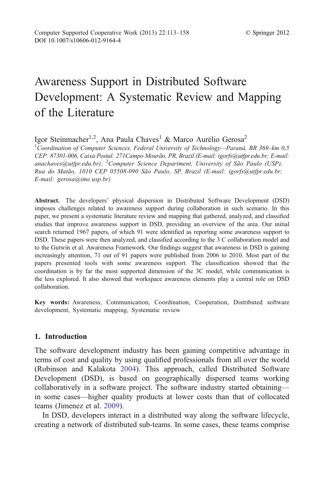# Awareness Support in Distributed Software Development: A Systematic Review and Mapping of the Literature

Igor Steinmacher<sup>1,2</sup>, Ana Paula Chaves<sup>1</sup> & Marco Aurélio Gerosa<sup>2</sup>

<sup>1</sup>Coordination of Computer Sciences, Federal University of Technology—Paraná, BR 369-km 0,5 CEP: 87301-006, Caixa Postal: 271Campo Mourão, PR, Brazil (E-mail: igorfs@utfpr.edu.br; E-mail: anachaves@utfpr.edu.br); <sup>2</sup>Computer Science Department, University of São Paulo (USP), Rua do Matão, 1010 CEP 05508-090 São Paulo, SP, Brazil (E-mail: igorfs@utfpr.edu.br; E-mail: gerosa@ime.usp.br)

Abstract. The developers' physical dispersion in Distributed Software Development (DSD) imposes challenges related to awareness support during collaboration in such scenario. In this paper, we present a systematic literature review and mapping that gathered, analyzed, and classified studies that improve awareness support in DSD, providing an overview of the area. Our initial search returned 1967 papers, of which 91 were identified as reporting some awareness support to DSD. These papers were then analyzed, and classified according to the 3 C collaboration model and to the Gutwin et al. Awareness Framework. Our findings suggest that awareness in DSD is gaining increasingly attention, 71 out of 91 papers were published from 2006 to 2010. Most part of the papers presented tools with some awareness support. The classification showed that the coordination is by far the most supported dimension of the 3C model, while communication is the less explored. It also showed that workspace awareness elements play a central role on DSD collaboration.

Key words: Awareness, Communication, Coordination, Cooperation, Distributed software development, Systematic mapping, Systematic review

#### 1. Introduction

The software development industry has been gaining competitive advantage in terms of cost and quality by using qualified professionals from all over the world (Robinson and Kalakota [2004](#page-43-0)). This approach, called Distributed Software Development (DSD), is based on geographically dispersed teams working collaboratively in a software project. The software industry started obtaining in some cases—higher quality products at lower costs than that of collocated teams (Jimenez et al. [2009](#page-40-0)).

In DSD, developers interact in a distributed way along the software lifecycle, creating a network of distributed sub-teams. In some cases, these teams comprise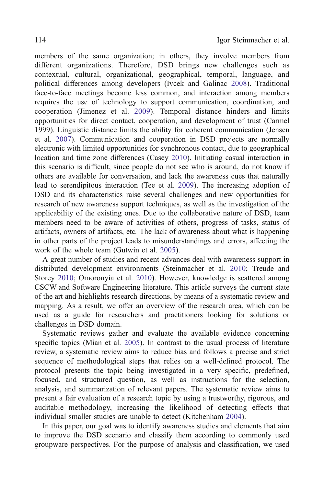members of the same organization; in others, they involve members from different organizations. Therefore, DSD brings new challenges such as contextual, cultural, organizational, geographical, temporal, language, and political differences among developers (Ivcek and Galinac [2008\)](#page-40-0). Traditional face-to-face meetings become less common, and interaction among members requires the use of technology to support communication, coordination, and cooperation (Jimenez et al. [2009](#page-40-0)). Temporal distance hinders and limits opportunities for direct contact, cooperation, and development of trust (Carmel [1999](#page-35-0)). Linguistic distance limits the ability for coherent communication (Jensen et al. [2007\)](#page-40-0). Communication and cooperation in DSD projects are normally electronic with limited opportunities for synchronous contact, due to geographical location and time zone differences (Casey [2010\)](#page-35-0). Initiating casual interaction in this scenario is difficult, since people do not see who is around, do not know if others are available for conversation, and lack the awareness cues that naturally lead to serendipitous interaction (Tee et al. [2009](#page-44-0)). The increasing adoption of DSD and its characteristics raise several challenges and new opportunities for research of new awareness support techniques, as well as the investigation of the applicability of the existing ones. Due to the collaborative nature of DSD, team members need to be aware of activities of others, progress of tasks, status of artifacts, owners of artifacts, etc. The lack of awareness about what is happening in other parts of the project leads to misunderstandings and errors, affecting the work of the whole team (Gutwin et al. [2005\)](#page-39-0).

A great number of studies and recent advances deal with awareness support in distributed development environments (Steinmacher et al. [2010](#page-44-0); Treude and Storey [2010;](#page-44-0) Omoronyia et al. [2010](#page-42-0)). However, knowledge is scattered among CSCW and Software Engineering literature. This article surveys the current state of the art and highlights research directions, by means of a systematic review and mapping. As a result, we offer an overview of the research area, which can be used as a guide for researchers and practitioners looking for solutions or challenges in DSD domain.

Systematic reviews gather and evaluate the available evidence concerning specific topics (Mian et al. [2005\)](#page-41-0). In contrast to the usual process of literature review, a systematic review aims to reduce bias and follows a precise and strict sequence of methodological steps that relies on a well-defined protocol. The protocol presents the topic being investigated in a very specific, predefined, focused, and structured question, as well as instructions for the selection, analysis, and summarization of relevant papers. The systematic review aims to present a fair evaluation of a research topic by using a trustworthy, rigorous, and auditable methodology, increasing the likelihood of detecting effects that individual smaller studies are unable to detect (Kitchenham [2004](#page-40-0)).

In this paper, our goal was to identify awareness studies and elements that aim to improve the DSD scenario and classify them according to commonly used groupware perspectives. For the purpose of analysis and classification, we used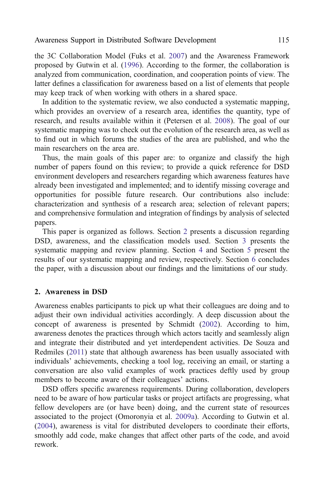the 3C Collaboration Model (Fuks et al. [2007](#page-38-0)) and the Awareness Framework proposed by Gutwin et al. [\(1996\)](#page-39-0). According to the former, the collaboration is analyzed from communication, coordination, and cooperation points of view. The latter defines a classification for awareness based on a list of elements that people may keep track of when working with others in a shared space.

In addition to the systematic review, we also conducted a systematic mapping, which provides an overview of a research area, identifies the quantity, type of research, and results available within it (Petersen et al. [2008\)](#page-42-0). The goal of our systematic mapping was to check out the evolution of the research area, as well as to find out in which forums the studies of the area are published, and who the main researchers on the area are.

Thus, the main goals of this paper are: to organize and classify the high number of papers found on this review; to provide a quick reference for DSD environment developers and researchers regarding which awareness features have already been investigated and implemented; and to identify missing coverage and opportunities for possible future research. Our contributions also include: characterization and synthesis of a research area; selection of relevant papers; and comprehensive formulation and integration of findings by analysis of selected papers.

This paper is organized as follows. Section 2 presents a discussion regarding DSD, awareness, and the classification models used. Section [3](#page-6-0) presents the systematic mapping and review planning. Section [4](#page-13-0) and Section [5](#page-15-0) present the results of our systematic mapping and review, respectively. Section [6](#page-28-0) concludes the paper, with a discussion about our findings and the limitations of our study.

#### 2. Awareness in DSD

Awareness enables participants to pick up what their colleagues are doing and to adjust their own individual activities accordingly. A deep discussion about the concept of awareness is presented by Schmidt ([2002\)](#page-43-0). According to him, awareness denotes the practices through which actors tacitly and seamlessly align and integrate their distributed and yet interdependent activities. De Souza and Redmiles ([2011](#page-36-0)) state that although awareness has been usually associated with individuals' achievements, checking a tool log, receiving an email, or starting a conversation are also valid examples of work practices deftly used by group members to become aware of their colleagues' actions.

DSD offers specific awareness requirements. During collaboration, developers need to be aware of how particular tasks or project artifacts are progressing, what fellow developers are (or have been) doing, and the current state of resources associated to the project (Omoronyia et al. [2009a](#page-42-0)). According to Gutwin et al. ([2004\)](#page-39-0), awareness is vital for distributed developers to coordinate their efforts, smoothly add code, make changes that affect other parts of the code, and avoid rework.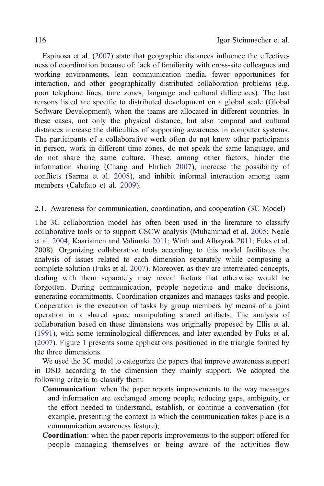<span id="page-3-0"></span>Espinosa et al. ([2007\)](#page-37-0) state that geographic distances influence the effectiveness of coordination because of: lack of familiarity with cross-site colleagues and working environments, lean communication media, fewer opportunities for interaction, and other geographically distributed collaboration problems (e.g. poor telephone lines, time zones, language and cultural differences). The last reasons listed are specific to distributed development on a global scale (Global Software Development), when the teams are allocated in different countries. In these cases, not only the physical distance, but also temporal and cultural distances increase the difficulties of supporting awareness in computer systems. The participants of a collaborative work often do not know other participants in person, work in different time zones, do not speak the same language, and do not share the same culture. These, among other factors, hinder the information sharing (Chang and Ehrlich [2007](#page-36-0)), increase the possibility of conflicts (Sarma et al. [2008\)](#page-43-0), and inhibit informal interaction among team members (Calefato et al. [2009\)](#page-35-0).

#### 2.1. Awareness for communication, coordination, and cooperation (3C Model)

The 3C collaboration model has often been used in the literature to classify collaborative tools or to support CSCW analysis (Muhammad et al. [2005](#page-41-0); Neale et al. [2004](#page-41-0); Kaariainen and Valimaki [2011;](#page-40-0) Wirth and Albayrak [2011](#page-45-0); Fuks et al. [2008](#page-38-0)). Organizing collaborative tools according to this model facilitates the analysis of issues related to each dimension separately while composing a complete solution (Fuks et al. [2007\)](#page-38-0). Moreover, as they are interrelated concepts, dealing with them separately may reveal factors that otherwise would be forgotten. During communication, people negotiate and make decisions, generating commitments. Coordination organizes and manages tasks and people. Cooperation is the execution of tasks by group members by means of a joint operation in a shared space manipulating shared artifacts. The analysis of collaboration based on these dimensions was originally proposed by Ellis et al. ([1991\)](#page-37-0), with some terminological differences, and later extended by Fuks et al. ([2007\)](#page-38-0). Figure [1](#page-4-0) presents some applications positioned in the triangle formed by the three dimensions.

We used the 3C model to categorize the papers that improve awareness support in DSD according to the dimension they mainly support. We adopted the following criteria to classify them:

- Communication: when the paper reports improvements to the way messages and information are exchanged among people, reducing gaps, ambiguity, or the effort needed to understand, establish, or continue a conversation (for example, presenting the context in which the communication takes place is a communication awareness feature);
- Coordination: when the paper reports improvements to the support offered for people managing themselves or being aware of the activities flow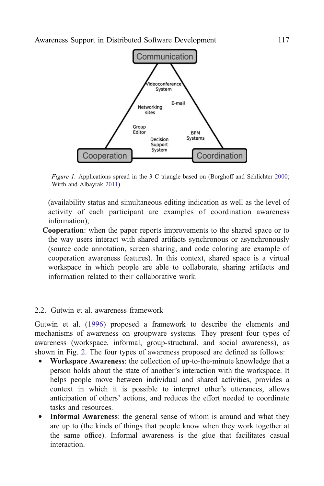<span id="page-4-0"></span>

Figure 1. Applications spread in the 3 C triangle based on (Borghoff and Schlichter [2000;](#page-35-0) Wirth and Albayrak [2011](#page-45-0)).

(availability status and simultaneous editing indication as well as the level of activity of each participant are examples of coordination awareness information);

Cooperation: when the paper reports improvements to the shared space or to the way users interact with shared artifacts synchronous or asynchronously (source code annotation, screen sharing, and code coloring are example of cooperation awareness features). In this context, shared space is a virtual workspace in which people are able to collaborate, sharing artifacts and information related to their collaborative work.

#### 2.2. Gutwin et al. awareness framework

Gutwin et al. ([1996\)](#page-39-0) proposed a framework to describe the elements and mechanisms of awareness on groupware systems. They present four types of awareness (workspace, informal, group-structural, and social awareness), as shown in Fig. [2.](#page-5-0) The four types of awareness proposed are defined as follows:

- & Workspace Awareness: the collection of up-to-the-minute knowledge that a person holds about the state of another's interaction with the workspace. It helps people move between individual and shared activities, provides a context in which it is possible to interpret other's utterances, allows anticipation of others' actions, and reduces the effort needed to coordinate tasks and resources.
- Informal Awareness: the general sense of whom is around and what they are up to (the kinds of things that people know when they work together at the same office). Informal awareness is the glue that facilitates casual interaction.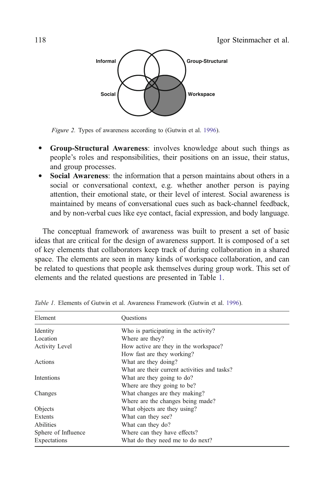<span id="page-5-0"></span>

Figure 2. Types of awareness according to (Gutwin et al. [1996\)](#page-39-0).

- & Group-Structural Awareness: involves knowledge about such things as people's roles and responsibilities, their positions on an issue, their status, and group processes.
- & Social Awareness: the information that a person maintains about others in a social or conversational context, e.g. whether another person is paying attention, their emotional state, or their level of interest. Social awareness is maintained by means of conversational cues such as back-channel feedback, and by non-verbal cues like eye contact, facial expression, and body language.

The conceptual framework of awareness was built to present a set of basic ideas that are critical for the design of awareness support. It is composed of a set of key elements that collaborators keep track of during collaboration in a shared space. The elements are seen in many kinds of workspace collaboration, and can be related to questions that people ask themselves during group work. This set of elements and the related questions are presented in Table 1.

| Element               | <b>Ouestions</b>                             |
|-----------------------|----------------------------------------------|
| Identity              | Who is participating in the activity?        |
| Location              | Where are they?                              |
| <b>Activity Level</b> | How active are they in the workspace?        |
|                       | How fast are they working?                   |
| Actions               | What are they doing?                         |
|                       | What are their current activities and tasks? |
| Intentions            | What are they going to do?                   |
|                       | Where are they going to be?                  |
| Changes               | What changes are they making?                |
|                       | Where are the changes being made?            |
| Objects               | What objects are they using?                 |
| Extents               | What can they see?                           |
| <b>Abilities</b>      | What can they do?                            |
| Sphere of Influence   | Where can they have effects?                 |
| Expectations          | What do they need me to do next?             |

Table 1. Elements of Gutwin et al. Awareness Framework (Gutwin et al. [1996\)](#page-39-0).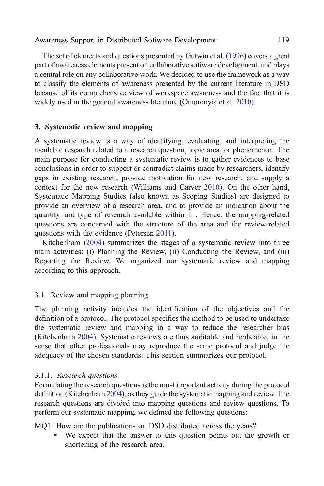<span id="page-6-0"></span>The set of elements and questions presented by Gutwin et al. ([1996](#page-39-0)) covers a great part of awareness elements present on collaborative software development, and plays a central role on any collaborative work. We decided to use the framework as a way to classify the elements of awareness presented by the current literature in DSD because of its comprehensive view of workspace awareness and the fact that it is widely used in the general awareness literature (Omoronyia et al. [2010\)](#page-42-0).

#### 3. Systematic review and mapping

A systematic review is a way of identifying, evaluating, and interpreting the available research related to a research question, topic area, or phenomenon. The main purpose for conducting a systematic review is to gather evidences to base conclusions in order to support or contradict claims made by researchers, identify gaps in existing research, provide motivation for new research, and supply a context for the new research (Williams and Carver [2010](#page-45-0)). On the other hand, Systematic Mapping Studies (also known as Scoping Studies) are designed to provide an overview of a research area, and to provide an indication about the quantity and type of research available within it . Hence, the mapping-related questions are concerned with the structure of the area and the review-related questions with the evidence (Petersen [2011](#page-42-0)).

Kitchenham [\(2004](#page-40-0)) summarizes the stages of a systematic review into three main activities: (i) Planning the Review, (ii) Conducting the Review, and (iii) Reporting the Review. We organized our systematic review and mapping according to this approach.

#### 3.1. Review and mapping planning

The planning activity includes the identification of the objectives and the definition of a protocol. The protocol specifies the method to be used to undertake the systematic review and mapping in a way to reduce the researcher bias (Kitchenham [2004\)](#page-40-0). Systematic reviews are thus auditable and replicable, in the sense that other professionals may reproduce the same protocol and judge the adequacy of the chosen standards. This section summarizes our protocol.

#### 3.1.1. Research questions

Formulating the research questions is the most important activity during the protocol definition (Kitchenham [2004\)](#page-40-0), as they guide the systematic mapping and review. The research questions are divided into mapping questions and review questions. To perform our systematic mapping, we defined the following questions:

MQ1: How are the publications on DSD distributed across the years?

We expect that the answer to this question points out the growth or shortening of the research area.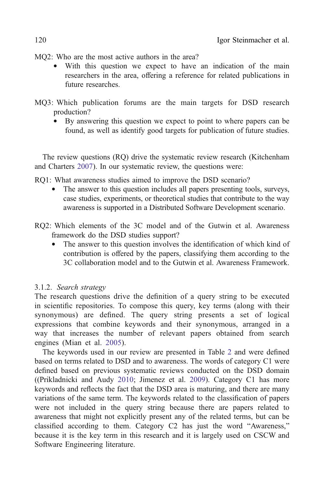MO2: Who are the most active authors in the area?

- & With this question we expect to have an indication of the main researchers in the area, offering a reference for related publications in future researches.
- MQ3: Which publication forums are the main targets for DSD research production?
	- & By answering this question we expect to point to where papers can be found, as well as identify good targets for publication of future studies.

The review questions (RQ) drive the systematic review research (Kitchenham and Charters [2007\)](#page-41-0). In our systematic review, the questions were:

RQ1: What awareness studies aimed to improve the DSD scenario?

- The answer to this question includes all papers presenting tools, surveys, case studies, experiments, or theoretical studies that contribute to the way awareness is supported in a Distributed Software Development scenario.
- RQ2: Which elements of the 3C model and of the Gutwin et al. Awareness framework do the DSD studies support?
	- The answer to this question involves the identification of which kind of contribution is offered by the papers, classifying them according to the 3C collaboration model and to the Gutwin et al. Awareness Framework.

#### 3.1.2. Search strategy

The research questions drive the definition of a query string to be executed in scientific repositories. To compose this query, key terms (along with their synonymous) are defined. The query string presents a set of logical expressions that combine keywords and their synonymous, arranged in a way that increases the number of relevant papers obtained from search engines (Mian et al. [2005](#page-41-0)).

The keywords used in our review are presented in Table [2](#page-8-0) and were defined based on terms related to DSD and to awareness. The words of category C1 were defined based on previous systematic reviews conducted on the DSD domain ((Prikladnicki and Audy [2010;](#page-42-0) Jimenez et al. [2009](#page-40-0)). Category C1 has more keywords and reflects the fact that the DSD area is maturing, and there are many variations of the same term. The keywords related to the classification of papers were not included in the query string because there are papers related to awareness that might not explicitly present any of the related terms, but can be classified according to them. Category C2 has just the word "Awareness," because it is the key term in this research and it is largely used on CSCW and Software Engineering literature.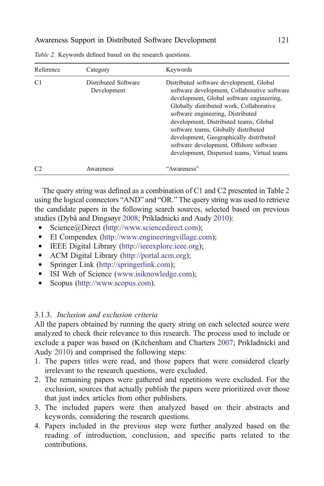| Reference      | Category                            | Keywords                                                                                                                                                                                                                                                                                                                                                                                                                                      |
|----------------|-------------------------------------|-----------------------------------------------------------------------------------------------------------------------------------------------------------------------------------------------------------------------------------------------------------------------------------------------------------------------------------------------------------------------------------------------------------------------------------------------|
| C1             | Distributed Software<br>Development | Distributed software development, Global<br>software development, Collaborative software<br>development, Global software engineering,<br>Globally distributed work, Collaborative<br>software engineering, Distributed<br>development, Distributed teams, Global<br>software teams, Globally distributed<br>development, Geographically distributed<br>software development, Offshore software<br>development, Dispersed teams, Virtual teams |
| C <sub>2</sub> | Awareness                           | "Awareness"                                                                                                                                                                                                                                                                                                                                                                                                                                   |

<span id="page-8-0"></span>Table 2. Keywords defined based on the research questions.

The query string was defined as a combination of C1 and C2 presented in Table 2 using the logical connectors "AND" and "OR." The query string was used to retrieve the candidate papers in the following search sources, selected based on previous studies (Dybå and Dingsøyr [2008](#page-37-0); Prikladnicki and Audy [2010](#page-42-0)):

- Science@Direct (<http://www.sciencedirect.com>);
- & El Compendex [\(http://www.engineeringvillage.com\)](http://www.engineeringvillage.com);
- & IEEE Digital Library [\(http://ieeexplore.ieee.org](http://ieeexplore.ieee.org));
- & ACM Digital Library ([http://portal.acm.org\)](http://portal.acm.org);
- & Springer Link (<http://springerlink.com>);
- ISI Web of Science ([www.isiknowledge.com\)](http://www.isiknowledge.com);<br>• Scopus (http://www.scopus.com).
- Scopus (<http://www.scopus.com>).

#### 3.1.3. Inclusion and exclusion criteria

All the papers obtained by running the query string on each selected source were analyzed to check their relevance to this research. The process used to include or exclude a paper was based on (Kitchenham and Charters [2007](#page-41-0); Prikladnicki and Audy [2010](#page-42-0)) and comprised the following steps:

- 1. The papers titles were read, and those papers that were considered clearly irrelevant to the research questions, were excluded.
- 2. The remaining papers were gathered and repetitions were excluded. For the exclusion, sources that actually publish the papers were prioritized over those that just index articles from other publishers.
- 3. The included papers were then analyzed based on their abstracts and keywords, considering the research questions.
- 4. Papers included in the previous step were further analyzed based on the reading of introduction, conclusion, and specific parts related to the contributions.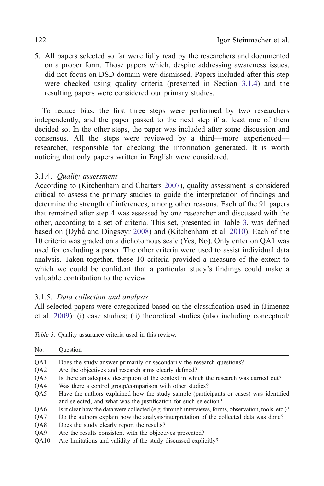<span id="page-9-0"></span>5. All papers selected so far were fully read by the researchers and documented on a proper form. Those papers which, despite addressing awareness issues, did not focus on DSD domain were dismissed. Papers included after this step were checked using quality criteria (presented in Section 3.1.4) and the resulting papers were considered our primary studies.

To reduce bias, the first three steps were performed by two researchers independently, and the paper passed to the next step if at least one of them decided so. In the other steps, the paper was included after some discussion and consensus. All the steps were reviewed by a third—more experienced researcher, responsible for checking the information generated. It is worth noticing that only papers written in English were considered.

### 3.1.4. Quality assessment

According to (Kitchenham and Charters [2007\)](#page-41-0), quality assessment is considered critical to assess the primary studies to guide the interpretation of findings and determine the strength of inferences, among other reasons. Each of the 91 papers that remained after step 4 was assessed by one researcher and discussed with the other, according to a set of criteria. This set, presented in Table 3, was defined based on (Dybå and Dingsøyr [2008](#page-37-0)) and (Kitchenham et al. [2010\)](#page-41-0). Each of the 10 criteria was graded on a dichotomous scale (Yes, No). Only criterion QA1 was used for excluding a paper. The other criteria were used to assist individual data analysis. Taken together, these 10 criteria provided a measure of the extent to which we could be confident that a particular study's findings could make a valuable contribution to the review.

### 3.1.5. Data collection and analysis

All selected papers were categorized based on the classification used in (Jimenez et al. [2009](#page-40-0)): (i) case studies; (ii) theoretical studies (also including conceptual/

| No.             | Ouestion                                                                                                                                                   |
|-----------------|------------------------------------------------------------------------------------------------------------------------------------------------------------|
| QA1             | Does the study answer primarily or secondarily the research questions?                                                                                     |
| QA <sub>2</sub> | Are the objectives and research aims clearly defined?                                                                                                      |
| QA3             | Is there an adequate description of the context in which the research was carried out?                                                                     |
| QA4             | Was there a control group/comparison with other studies?                                                                                                   |
| QA5             | Have the authors explained how the study sample (participants or cases) was identified<br>and selected, and what was the justification for such selection? |
| QA6             | Is it clear how the data were collected (e.g. through interviews, forms, observation, tools, etc.)?                                                        |
| QA7             | Do the authors explain how the analysis/interpretation of the collected data was done?                                                                     |
| QA8             | Does the study clearly report the results?                                                                                                                 |
| OA9             | Are the results consistent with the objectives presented?                                                                                                  |
| QA10            | Are limitations and validity of the study discussed explicitly?                                                                                            |

Table 3. Quality assurance criteria used in this review.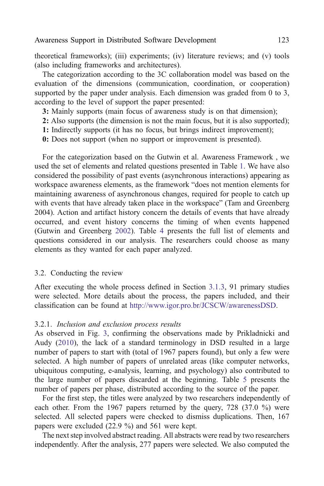theoretical frameworks); (iii) experiments; (iv) literature reviews; and (v) tools (also including frameworks and architectures).

The categorization according to the 3C collaboration model was based on the evaluation of the dimensions (communication, coordination, or cooperation) supported by the paper under analysis. Each dimension was graded from 0 to 3, according to the level of support the paper presented:

- 3: Mainly supports (main focus of awareness study is on that dimension);
- 2: Also supports (the dimension is not the main focus, but it is also supported);
- 1: Indirectly supports (it has no focus, but brings indirect improvement);
- 0: Does not support (when no support or improvement is presented).

For the categorization based on the Gutwin et al. Awareness Framework , we used the set of elements and related questions presented in Table [1.](#page-5-0) We have also considered the possibility of past events (asynchronous interactions) appearing as workspace awareness elements, as the framework "does not mention elements for maintaining awareness of asynchronous changes, required for people to catch up with events that have already taken place in the workspace" (Tam and Greenberg [2004](#page-44-0)). Action and artifact history concern the details of events that have already occurred, and event history concerns the timing of when events happened (Gutwin and Greenberg [2002](#page-39-0)). Table [4](#page-11-0) presents the full list of elements and questions considered in our analysis. The researchers could choose as many elements as they wanted for each paper analyzed.

#### 3.2. Conducting the review

After executing the whole process defined in Section [3.1.3](#page-8-0), 91 primary studies were selected. More details about the process, the papers included, and their classification can be found at <http://www.igor.pro.br/JCSCW/awarenessDSD>.

#### 3.2.1. Inclusion and exclusion process results

As observed in Fig. [3](#page-12-0), confirming the observations made by Prikladnicki and Audy [\(2010](#page-42-0)), the lack of a standard terminology in DSD resulted in a large number of papers to start with (total of 1967 papers found), but only a few were selected. A high number of papers of unrelated areas (like computer networks, ubiquitous computing, e-analysis, learning, and psychology) also contributed to the large number of papers discarded at the beginning. Table [5](#page-12-0) presents the number of papers per phase, distributed according to the source of the paper.

For the first step, the titles were analyzed by two researchers independently of each other. From the 1967 papers returned by the query, 728 (37.0 %) were selected. All selected papers were checked to dismiss duplications. Then, 167 papers were excluded (22.9 %) and 561 were kept.

The next step involved abstract reading. All abstracts were read by two researchers independently. After the analysis, 277 papers were selected. We also computed the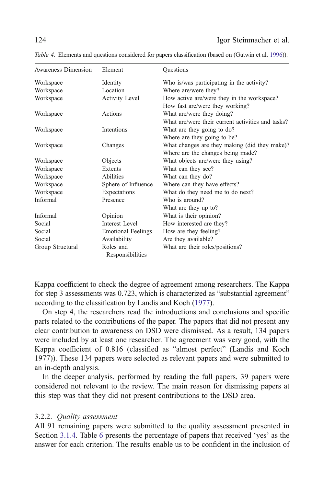| Awareness Dimension | Element                       | Questions                                         |
|---------------------|-------------------------------|---------------------------------------------------|
| Workspace           | Identity                      | Who is/was participating in the activity?         |
| Workspace           | Location                      | Where are/were they?                              |
| Workspace           | <b>Activity Level</b>         | How active are/were they in the workspace?        |
|                     |                               | How fast are/were they working?                   |
| Workspace           | Actions                       | What are/were they doing?                         |
|                     |                               | What are/were their current activities and tasks? |
| Workspace           | <b>Intentions</b>             | What are they going to do?                        |
|                     |                               | Where are they going to be?                       |
| Workspace           | Changes                       | What changes are they making (did they make)?     |
|                     |                               | Where are the changes being made?                 |
| Workspace           | Objects                       | What objects are/were they using?                 |
| Workspace           | Extents                       | What can they see?                                |
| Workspace           | <b>Abilities</b>              | What can they do?                                 |
| Workspace           | Sphere of Influence           | Where can they have effects?                      |
| Workspace           | Expectations                  | What do they need me to do next?                  |
| Informal            | Presence                      | Who is around?                                    |
|                     |                               | What are they up to?                              |
| Informal            | Opinion                       | What is their opinion?                            |
| Social              | Interest Level                | How interested are they?                          |
| Social              | <b>Emotional Feelings</b>     | How are they feeling?                             |
| Social              | Availability                  | Are they available?                               |
| Group Structural    | Roles and<br>Responsibilities | What are their roles/positions?                   |

<span id="page-11-0"></span>Table 4. Elements and questions considered for papers classification (based on (Gutwin et al. [1996](#page-39-0))).

Kappa coefficient to check the degree of agreement among researchers. The Kappa for step 3 assessments was 0.723, which is characterized as "substantial agreement" according to the classification by Landis and Koch [\(1977\)](#page-41-0).

On step 4, the researchers read the introductions and conclusions and specific parts related to the contributions of the paper. The papers that did not present any clear contribution to awareness on DSD were dismissed. As a result, 134 papers were included by at least one researcher. The agreement was very good, with the Kappa coefficient of 0.816 (classified as "almost perfect" (Landis and Koch [1977](#page-41-0))). These 134 papers were selected as relevant papers and were submitted to an in-depth analysis.

In the deeper analysis, performed by reading the full papers, 39 papers were considered not relevant to the review. The main reason for dismissing papers at this step was that they did not present contributions to the DSD area.

#### 3.2.2. Quality assessment

All 91 remaining papers were submitted to the quality assessment presented in Section [3.1.4](#page-9-0). Table [6](#page-13-0) presents the percentage of papers that received 'yes' as the answer for each criterion. The results enable us to be confident in the inclusion of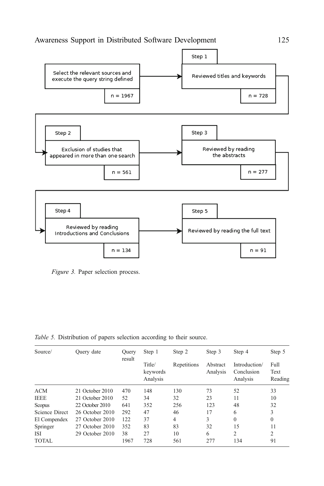<span id="page-12-0"></span>

Figure 3. Paper selection process.

Table 5. Distribution of papers selection according to their source.

| Source/        | Query date      | Ouery  | Step 1                         | Step 2         | Step 3               | Step 4                                  | Step 5                  |
|----------------|-----------------|--------|--------------------------------|----------------|----------------------|-----------------------------------------|-------------------------|
|                |                 | result | Title/<br>keywords<br>Analysis | Repetitions    | Abstract<br>Analysis | Introduction/<br>Conclusion<br>Analysis | Full<br>Text<br>Reading |
| <b>ACM</b>     | 21 October 2010 | 470    | 148                            | 130            | 73                   | 52                                      | 33                      |
| <b>IEEE</b>    | 21 October 2010 | 52     | 34                             | 32             | 23                   | 11                                      | 10                      |
| Scopus         | 22 October 2010 | 641    | 352                            | 256            | 123                  | 48                                      | 32                      |
| Science Direct | 26 October 2010 | 292    | 47                             | 46             | 17                   | 6                                       | 3                       |
| El Compendex   | 27 October 2010 | 122    | 37                             | $\overline{4}$ | 3                    | $\mathbf{0}$                            | $\mathbf{0}$            |
| Springer       | 27 October 2010 | 352    | 83                             | 83             | 32                   | 15                                      | 11                      |
| ISI            | 29 October 2010 | 38     | 27                             | 10             | 6                    | 2                                       | 2                       |
| <b>TOTAL</b>   |                 | 1967   | 728                            | 561            | 277                  | 134                                     | 91                      |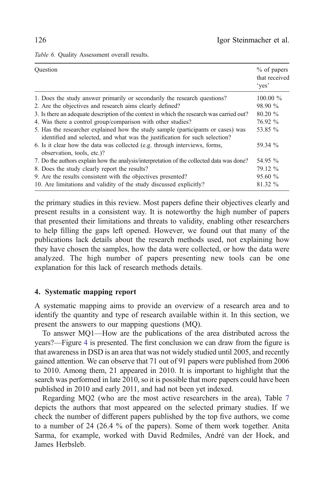<span id="page-13-0"></span>Table 6. Quality Assessment overall results.

| Ouestion                                                                                                                                                        | $%$ of papers<br>that received<br>'yes' |
|-----------------------------------------------------------------------------------------------------------------------------------------------------------------|-----------------------------------------|
| 1. Does the study answer primarily or secondarily the research questions?                                                                                       | $100.00 \%$                             |
| 2. Are the objectives and research aims clearly defined?                                                                                                        | 98.90 %                                 |
| 3. Is there an adequate description of the context in which the research was carried out?                                                                       | $80.20 \%$                              |
| 4. Was there a control group/comparison with other studies?                                                                                                     | 76.92 %                                 |
| 5. Has the researcher explained how the study sample (participants or cases) was<br>identified and selected, and what was the justification for such selection? | 53.85 %                                 |
| 6. Is it clear how the data was collected (e.g. through interviews, forms,<br>observation, tools, etc.)?                                                        | 59.34 %                                 |
| 7. Do the authors explain how the analysis/interpretation of the collected data was done?                                                                       | 54.95 %                                 |
| 8. Does the study clearly report the results?                                                                                                                   | 79.12 %                                 |
| 9. Are the results consistent with the objectives presented?                                                                                                    | 95.60%                                  |
| 10. Are limitations and validity of the study discussed explicitly?                                                                                             | 81.32 %                                 |

the primary studies in this review. Most papers define their objectives clearly and present results in a consistent way. It is noteworthy the high number of papers that presented their limitations and threats to validity, enabling other researchers to help filling the gaps left opened. However, we found out that many of the publications lack details about the research methods used, not explaining how they have chosen the samples, how the data were collected, or how the data were analyzed. The high number of papers presenting new tools can be one explanation for this lack of research methods details.

#### 4. Systematic mapping report

A systematic mapping aims to provide an overview of a research area and to identify the quantity and type of research available within it. In this section, we present the answers to our mapping questions (MQ).

To answer MQ1—How are the publications of the area distributed across the years?—Figure [4](#page-14-0) is presented. The first conclusion we can draw from the figure is that awareness in DSD is an area that was not widely studied until 2005, and recently gained attention. We can observe that 71 out of 91 papers were published from 2006 to 2010. Among them, 21 appeared in 2010. It is important to highlight that the search was performed in late 2010, so it is possible that more papers could have been published in 2010 and early 2011, and had not been yet indexed.

Regarding MQ2 (who are the most active researchers in the area), Table [7](#page-14-0) depicts the authors that most appeared on the selected primary studies. If we check the number of different papers published by the top five authors, we come to a number of 24 (26.4 % of the papers). Some of them work together. Anita Sarma, for example, worked with David Redmiles, André van der Hoek, and James Herbsleb.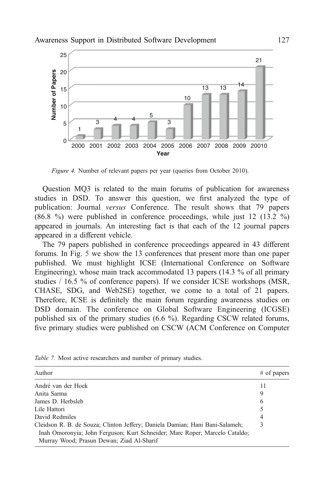<span id="page-14-0"></span>

Figure 4. Number of relevant papers per year (queries from October 2010).

Question MQ3 is related to the main forums of publication for awareness studies in DSD. To answer this question, we first analyzed the type of publication: Journal versus Conference. The result shows that 79 papers (86.8 %) were published in conference proceedings, while just 12 (13.2 %) appeared in journals. An interesting fact is that each of the 12 journal papers appeared in a different vehicle.

The 79 papers published in conference proceedings appeared in 43 different forums. In Fig. [5](#page-15-0) we show the 13 conferences that present more than one paper published. We must highlight ICSE (International Conference on Software Engineering), whose main track accommodated 13 papers (14.3 % of all primary studies / 16.5 % of conference papers). If we consider ICSE workshops (MSR, CHASE, SDG, and Web2SE) together, we come to a total of 21 papers. Therefore, ICSE is definitely the main forum regarding awareness studies on DSD domain. The conference on Global Software Engineering (ICGSE) published six of the primary studies (6.6 %). Regarding CSCW related forums, Figure 1. Number of relevant papers per search on Computer of CSCW (ACM Conference on Computiver primary studies were published on CSCW (ACM Conference on Computiver Since primary studies were published in conference proce

| Author                                                                                                                                                                                                   | $#$ of papers |
|----------------------------------------------------------------------------------------------------------------------------------------------------------------------------------------------------------|---------------|
| André van der Hoek                                                                                                                                                                                       | 11            |
| Anita Sarma                                                                                                                                                                                              | 9             |
| James D. Herbsleb                                                                                                                                                                                        | 6             |
| Lile Hattori                                                                                                                                                                                             | 5             |
| David Redmiles                                                                                                                                                                                           | 4             |
| Cleidson R. B. de Souza; Clinton Jeffery; Daniela Damian; Hani Bani-Salameh;<br>Inah Omoronyia; John Ferguson; Kurt Schneider; Marc Roper; Marcelo Cataldo;<br>Murray Wood; Prasun Dewan; Ziad Al-Sharif |               |

Table 7. Most active researchers and number of primary studies.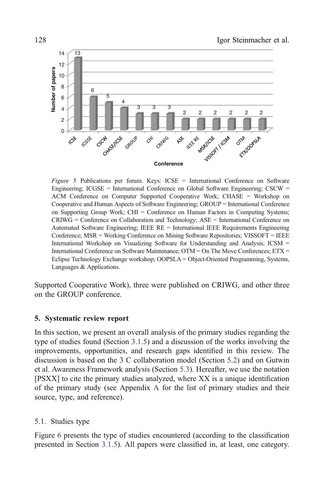<span id="page-15-0"></span>

Figure 5. Publications per forum. Keys: ICSE = International Conference on Software Engineering;  $ICGSE = International Conference on Global Software Engineering; CSCW =$ ACM Conference on Computer Supported Cooperative Work; CHASE = Workshop on Cooperative and Human Aspects of Software Engineering; GROUP = International Conference on Supporting Group Work; CHI = Conference on Human Factors in Computing Systems;  $CRIWG =$  Conference on Collaboration and Technology;  $ASE =$  International Conference on Automated Software Engineering; IEEE RE = International IEEE Requirements Engineering Conference; MSR = Working Conference on Mining Software Repositories; VISSOFT = IEEE International Workshop on Visualizing Software for Understanding and Analysis; ICSM = International Conference on Software Maintenance;  $OTM = On$  The Move Conferences;  $ETX =$ Eclipse Technology Exchange workshop; OOPSLA = Object-Oriented Programming, Systems, Languages & Applications.

Supported Cooperative Work), three were published on CRIWG, and other three on the GROUP conference.

#### 5. Systematic review report

In this section, we present an overall analysis of the primary studies regarding the type of studies found (Section [3.1.5\)](#page-9-0) and a discussion of the works involving the improvements, opportunities, and research gaps identified in this review. The discussion is based on the 3 C collaboration model (Section [5.2\)](#page-16-0) and on Gutwin et al. Awareness Framework analysis (Section [5.3](#page-22-0)). Hereafter, we use the notation [PSXX] to cite the primary studies analyzed, where XX is a unique identification of the primary study (see Appendix [A](#page-33-0) for the list of primary studies and their source, type, and reference).

#### 5.1. Studies type

Figure [6](#page-16-0) presents the type of studies encountered (according to the classification presented in Section [3.1.5](#page-9-0)). All papers were classified in, at least, one category.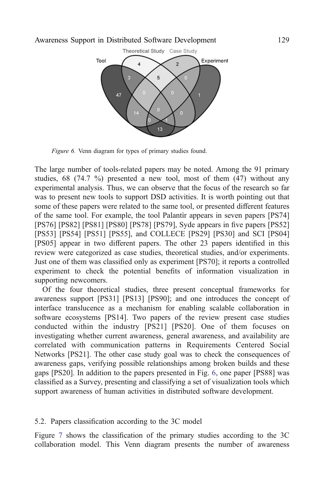<span id="page-16-0"></span>

Figure 6. Venn diagram for types of primary studies found.

The large number of tools-related papers may be noted. Among the 91 primary studies,  $68$  (74.7 %) presented a new tool, most of them (47) without any experimental analysis. Thus, we can observe that the focus of the research so far was to present new tools to support DSD activities. It is worth pointing out that some of these papers were related to the same tool, or presented different features of the same tool. For example, the tool Palantìr appears in seven papers [PS74] [PS76] [PS82] [PS81] [PS80] [PS78] [PS79], Syde appears in five papers [PS52] [PS53] [PS54] [PS51] [PS55], and COLLECE [PS29] [PS30] and SCI [PS04] [PS05] appear in two different papers. The other 23 papers identified in this review were categorized as case studies, theoretical studies, and/or experiments. Just one of them was classified only as experiment [PS70]; it reports a controlled experiment to check the potential benefits of information visualization in supporting newcomers.

Of the four theoretical studies, three present conceptual frameworks for awareness support [PS31] [PS13] [PS90]; and one introduces the concept of interface translucence as a mechanism for enabling scalable collaboration in software ecosystems [PS14]. Two papers of the review present case studies conducted within the industry [PS21] [PS20]. One of them focuses on investigating whether current awareness, general awareness, and availability are correlated with communication patterns in Requirements Centered Social Networks [PS21]. The other case study goal was to check the consequences of awareness gaps, verifying possible relationships among broken builds and these gaps [PS20]. In addition to the papers presented in Fig. 6, one paper [PS88] was classified as a Survey, presenting and classifying a set of visualization tools which support awareness of human activities in distributed software development.

#### 5.2. Papers classification according to the 3C model

Figure [7](#page-17-0) shows the classification of the primary studies according to the 3C collaboration model. This Venn diagram presents the number of awareness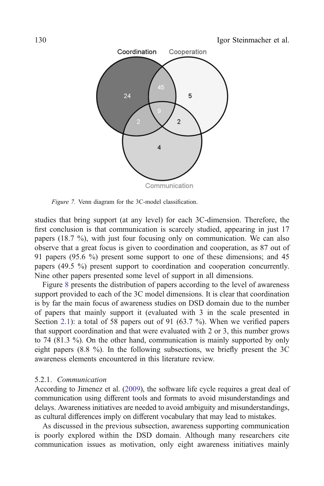<span id="page-17-0"></span>

Figure 7. Venn diagram for the 3C-model classification.

studies that bring support (at any level) for each 3C-dimension. Therefore, the first conclusion is that communication is scarcely studied, appearing in just 17 papers (18.7 %), with just four focusing only on communication. We can also observe that a great focus is given to coordination and cooperation, as 87 out of 91 papers (95.6 %) present some support to one of these dimensions; and 45 papers (49.5 %) present support to coordination and cooperation concurrently. Nine other papers presented some level of support in all dimensions.

Figure [8](#page-18-0) presents the distribution of papers according to the level of awareness support provided to each of the 3C model dimensions. It is clear that coordination is by far the main focus of awareness studies on DSD domain due to the number of papers that mainly support it (evaluated with 3 in the scale presented in Section [2.1\)](#page-3-0): a total of 58 papers out of 91 (63.7 %). When we verified papers that support coordination and that were evaluated with 2 or 3, this number grows to 74 (81.3 %). On the other hand, communication is mainly supported by only eight papers (8.8 %). In the following subsections, we briefly present the 3C awareness elements encountered in this literature review.

#### 5.2.1. Communication

According to Jimenez et al. ([2009](#page-40-0)), the software life cycle requires a great deal of communication using different tools and formats to avoid misunderstandings and delays. Awareness initiatives are needed to avoid ambiguity and misunderstandings, as cultural differences imply on different vocabulary that may lead to mistakes.

As discussed in the previous subsection, awareness supporting communication is poorly explored within the DSD domain. Although many researchers cite communication issues as motivation, only eight awareness initiatives mainly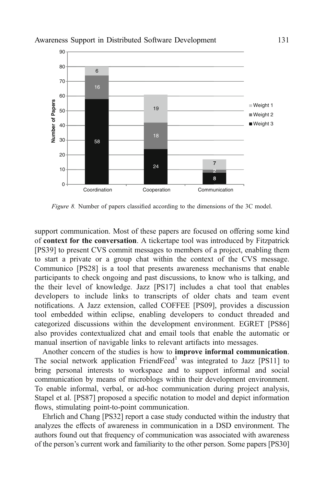<span id="page-18-0"></span>

Figure 8. Number of papers classified according to the dimensions of the 3C model.

support communication. Most of these papers are focused on offering some kind of context for the conversation. A tickertape tool was introduced by Fitzpatrick [PS39] to present CVS commit messages to members of a project, enabling them to start a private or a group chat within the context of the CVS message. Communico [PS28] is a tool that presents awareness mechanisms that enable participants to check ongoing and past discussions, to know who is talking, and the their level of knowledge. Jazz [PS17] includes a chat tool that enables developers to include links to transcripts of older chats and team event notifications. A Jazz extension, called COFFEE [PS09], provides a discussion tool embedded within eclipse, enabling developers to conduct threaded and categorized discussions within the development environment. EGRET [PS86] also provides contextualized chat and email tools that enable the automatic or manual insertion of navigable links to relevant artifacts into messages.

Another concern of the studies is how to improve informal communication. The social network application  $FriendFeed<sup>1</sup>$  was integrated to Jazz [PS11] to bring personal interests to workspace and to support informal and social communication by means of microblogs within their development environment. To enable informal, verbal, or ad-hoc communication during project analysis, Stapel et al. [PS87] proposed a specific notation to model and depict information flows, stimulating point-to-point communication.

Ehrlich and Chang [PS32] report a case study conducted within the industry that analyzes the effects of awareness in communication in a DSD environment. The authors found out that frequency of communication was associated with awareness of the person's current work and familiarity to the other person. Some papers [PS30]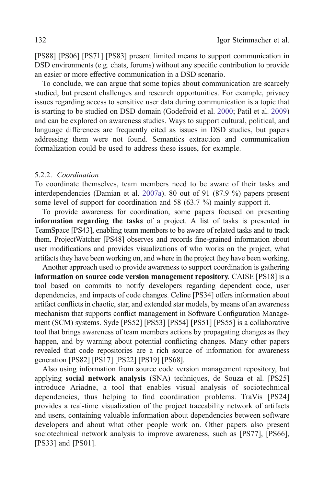<span id="page-19-0"></span>[PS88] [PS06] [PS71] [PS83] present limited means to support communication in DSD environments (e.g. chats, forums) without any specific contribution to provide an easier or more effective communication in a DSD scenario.

To conclude, we can argue that some topics about communication are scarcely studied, but present challenges and research opportunities. For example, privacy issues regarding access to sensitive user data during communication is a topic that is starting to be studied on DSD domain (Godefroid et al. [2000](#page-39-0); Patil et al. [2009\)](#page-42-0) and can be explored on awareness studies. Ways to support cultural, political, and language differences are frequently cited as issues in DSD studies, but papers addressing them were not found. Semantics extraction and communication formalization could be used to address these issues, for example.

#### 5.2.2. Coordination

To coordinate themselves, team members need to be aware of their tasks and interdependencies (Damian et al. [2007a](#page-36-0)). 80 out of 91 (87.9 %) papers present some level of support for coordination and 58 (63.7 %) mainly support it.

To provide awareness for coordination, some papers focused on presenting information regarding the tasks of a project. A list of tasks is presented in TeamSpace [PS43], enabling team members to be aware of related tasks and to track them. ProjectWatcher [PS48] observes and records fine-grained information about user modifications and provides visualizations of who works on the project, what artifacts they have been working on, and where in the project they have been working.

Another approach used to provide awareness to support coordination is gathering information on source code version management repository. CAISE [PS18] is a tool based on commits to notify developers regarding dependent code, user dependencies, and impacts of code changes. Celine [PS34] offers information about artifact conflicts in chaotic, star, and extended star models, by means of an awareness mechanism that supports conflict management in Software Configuration Management (SCM) systems. Syde [PS52] [PS53] [PS54] [PS51] [PS55] is a collaborative tool that brings awareness of team members actions by propagating changes as they happen, and by warning about potential conflicting changes. Many other papers revealed that code repositories are a rich source of information for awareness generation [PS82] [PS17] [PS22] [PS19] [PS68].

Also using information from source code version management repository, but applying social network analysis (SNA) techniques, de Souza et al. [PS25] introduce Ariadne, a tool that enables visual analysis of sociotechnical dependencies, thus helping to find coordination problems. TraVis [PS24] provides a real-time visualization of the project traceability network of artifacts and users, containing valuable information about dependencies between software developers and about what other people work on. Other papers also present sociotechnical network analysis to improve awareness, such as [PS77], [PS66], [PS33] and [PS01].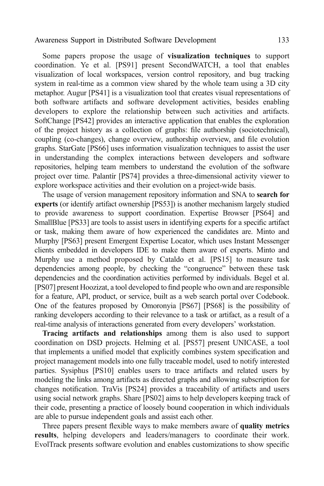Some papers propose the usage of visualization techniques to support coordination. Ye et al. [PS91] present SecondWATCH, a tool that enables visualization of local workspaces, version control repository, and bug tracking system in real-time as a common view shared by the whole team using a 3D city metaphor. Augur [PS41] is a visualization tool that creates visual representations of both software artifacts and software development activities, besides enabling developers to explore the relationship between such activities and artifacts. SoftChange [PS42] provides an interactive application that enables the exploration of the project history as a collection of graphs: file authorship (sociotechnical), coupling (co-changes), change overview, authorship overview, and file evolution graphs. StarGate [PS66] uses information visualization techniques to assist the user in understanding the complex interactions between developers and software repositories, helping team members to understand the evolution of the software project over time. Palantír [PS74] provides a three-dimensional activity viewer to explore workspace activities and their evolution on a project-wide basis.

The usage of version management repository information and SNA to search for experts (or identify artifact ownership [PS53]) is another mechanism largely studied to provide awareness to support coordination. Expertise Browser [PS64] and SmallBlue [PS33] are tools to assist users in identifying experts for a specific artifact or task, making them aware of how experienced the candidates are. Minto and Murphy [PS63] present Emergent Expertise Locator, which uses Instant Messenger clients embedded in developers IDE to make them aware of experts. Minto and Murphy use a method proposed by Cataldo et al. [PS15] to measure task dependencies among people, by checking the "congruence" between these task dependencies and the coordination activities performed by individuals. Begel et al. [PS07] present Hoozizat, a tool developed to find people who own and are responsible for a feature, API, product, or service, built as a web search portal over Codebook. One of the features proposed by Omoronyia [PS67] [PS68] is the possibility of ranking developers according to their relevance to a task or artifact, as a result of a real-time analysis of interactions generated from every developers' workstation.

Tracing artifacts and relationships among them is also used to support coordination on DSD projects. Helming et al. [PS57] present UNICASE, a tool that implements a unified model that explicitly combines system specification and project management models into one fully traceable model, used to notify interested parties. Sysiphus [PS10] enables users to trace artifacts and related users by modeling the links among artifacts as directed graphs and allowing subscription for changes notification. TraVis [PS24] provides a traceability of artifacts and users using social network graphs. Share [PS02] aims to help developers keeping track of their code, presenting a practice of loosely bound cooperation in which individuals are able to pursue independent goals and assist each other.

Three papers present flexible ways to make members aware of quality metrics results, helping developers and leaders/managers to coordinate their work. EvolTrack presents software evolution and enables customizations to show specific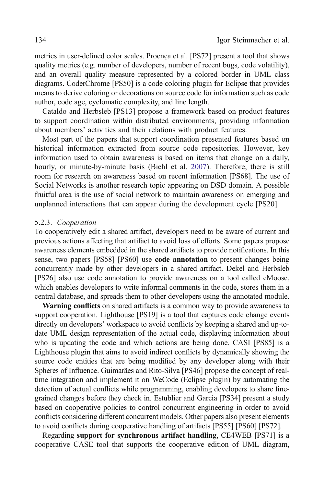metrics in user-defined color scales. Proença et al. [PS72] present a tool that shows quality metrics (e.g. number of developers, number of recent bugs, code volatility), and an overall quality measure represented by a colored border in UML class diagrams. CoderChrome [PS50] is a code coloring plugin for Eclipse that provides means to derive coloring or decorations on source code for information such as code author, code age, cyclomatic complexity, and line length.

Cataldo and Herbsleb [PS13] propose a framework based on product features to support coordination within distributed environments, providing information about members' activities and their relations with product features.

Most part of the papers that support coordination presented features based on historical information extracted from source code repositories. However, key information used to obtain awareness is based on items that change on a daily, hourly, or minute-by-minute basis (Biehl et al. [2007](#page-35-0)). Therefore, there is still room for research on awareness based on recent information [PS68]. The use of Social Networks is another research topic appearing on DSD domain. A possible fruitful area is the use of social network to maintain awareness on emerging and unplanned interactions that can appear during the development cycle [PS20].

#### 5.2.3. Cooperation

To cooperatively edit a shared artifact, developers need to be aware of current and previous actions affecting that artifact to avoid loss of efforts. Some papers propose awareness elements embedded in the shared artifacts to provide notifications. In this sense, two papers [PS58] [PS60] use **code annotation** to present changes being concurrently made by other developers in a shared artifact. Dekel and Herbsleb [PS26] also use code annotation to provide awareness on a tool called eMoose, which enables developers to write informal comments in the code, stores them in a central database, and spreads them to other developers using the annotated module.

Warning conflicts on shared artifacts is a common way to provide awareness to support cooperation. Lighthouse [PS19] is a tool that captures code change events directly on developers' workspace to avoid conflicts by keeping a shared and up-todate UML design representation of the actual code, displaying information about who is updating the code and which actions are being done. CASI [PS85] is a Lighthouse plugin that aims to avoid indirect conflicts by dynamically showing the source code entities that are being modified by any developer along with their Spheres of Influence. Guimarães and Rito-Silva [PS46] propose the concept of realtime integration and implement it on WeCode (Eclipse plugin) by automating the detection of actual conflicts while programming, enabling developers to share finegrained changes before they check in. Estublier and Garcia [PS34] present a study based on cooperative policies to control concurrent engineering in order to avoid conflicts considering different concurrent models. Other papers also present elements to avoid conflicts during cooperative handling of artifacts [PS55] [PS60] [PS72].

Regarding support for synchronous artifact handling, CE4WEB [PS71] is a cooperative CASE tool that supports the cooperative edition of UML diagram,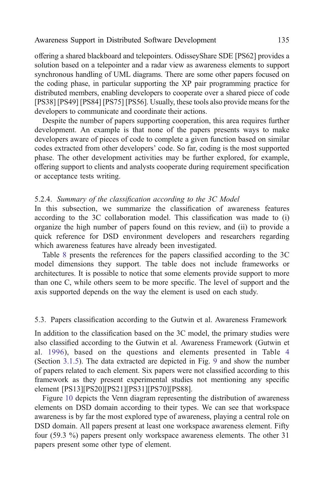<span id="page-22-0"></span>offering a shared blackboard and telepointers. OdisseyShare SDE [PS62] provides a solution based on a telepointer and a radar view as awareness elements to support synchronous handling of UML diagrams. There are some other papers focused on the coding phase, in particular supporting the XP pair programming practice for distributed members, enabling developers to cooperate over a shared piece of code [PS38] [PS49] [PS84] [PS75] [PS56]. Usually, these tools also provide means for the developers to communicate and coordinate their actions.

Despite the number of papers supporting cooperation, this area requires further development. An example is that none of the papers presents ways to make developers aware of pieces of code to complete a given function based on similar codes extracted from other developers' code. So far, coding is the most supported phase. The other development activities may be further explored, for example, offering support to clients and analysts cooperate during requirement specification or acceptance tests writing.

#### 5.2.4. Summary of the classification according to the 3C Model

In this subsection, we summarize the classification of awareness features according to the 3C collaboration model. This classification was made to (i) organize the high number of papers found on this review, and (ii) to provide a quick reference for DSD environment developers and researchers regarding which awareness features have already been investigated.

Table [8](#page-23-0) presents the references for the papers classified according to the 3C model dimensions they support. The table does not include frameworks or architectures. It is possible to notice that some elements provide support to more than one C, while others seem to be more specific. The level of support and the axis supported depends on the way the element is used on each study.

#### 5.3. Papers classification according to the Gutwin et al. Awareness Framework

In addition to the classification based on the 3C model, the primary studies were also classified according to the Gutwin et al. Awareness Framework (Gutwin et al. [1996\)](#page-39-0), based on the questions and elements presented in Table [4](#page-11-0) (Section [3.1.5](#page-9-0)). The data extracted are depicted in Fig. [9](#page-24-0) and show the number of papers related to each element. Six papers were not classified according to this framework as they present experimental studies not mentioning any specific element [PS13][PS20][PS21][PS31][PS70][PS88].

Figure [10](#page-25-0) depicts the Venn diagram representing the distribution of awareness elements on DSD domain according to their types. We can see that workspace awareness is by far the most explored type of awareness, playing a central role on DSD domain. All papers present at least one workspace awareness element. Fifty four (59.3 %) papers present only workspace awareness elements. The other 31 papers present some other type of element.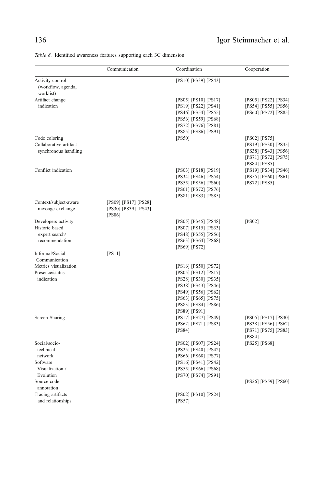## <span id="page-23-0"></span>136 Igor Steinmacher et al.

Table 8. Identified awareness features supporting each 3C dimension.

|                                                                           | Communication                                          | Coordination                                                                                                                                                                          | Cooperation                                                                                                |
|---------------------------------------------------------------------------|--------------------------------------------------------|---------------------------------------------------------------------------------------------------------------------------------------------------------------------------------------|------------------------------------------------------------------------------------------------------------|
| Activity control<br>(workflow, agenda,<br>worklist)                       |                                                        | [PS10] [PS39] [PS43]                                                                                                                                                                  |                                                                                                            |
| Artifact change<br>indication                                             |                                                        | [PS05] [PS10] [PS17]<br>[PS19] [PS22] [PS41]<br>[PS46] [PS54] [PS55]<br>[PS56] [PS59] [PS68]<br>[PS72] [PS76] [PS81]<br>[PS85] [PS86] [PS91]                                          | [PS05] [PS22] [PS34]<br>[PS54] [PS55] [PS56]<br>[PS60] [PS72] [PS85]                                       |
| Code coloring<br>Collaborative artifact<br>synchronous handling           |                                                        | [PS50]                                                                                                                                                                                | $[PS02]$ $[PS75]$<br>[PS19] [PS30] [PS35]<br>[PS38] [PS43] [PS56]<br>[PS71] [PS72] [PS75]<br>[PS84] [PS85] |
| Conflict indication                                                       |                                                        | [PS03] [PS18] [PS19]<br>[PS34] [PS46] [PS54]<br>[PS55] [PS56] [PS60]<br>[PS61] [PS72] [PS76]<br>[PS81] [PS83] [PS85]                                                                  | [PS19] [PS34] [PS46]<br>[PS55] [PS60] [PS61]<br>$[PS72]$ $[PS85]$                                          |
| Context/subject-aware<br>message exchange                                 | [PS09] [PS17] [PS28]<br>[PS30] [PS39] [PS43]<br>[PS86] |                                                                                                                                                                                       |                                                                                                            |
| Developers activity<br>Historic based<br>expert search/<br>recommendation |                                                        | [PS05] [PS45] [PS48]<br>[PS07] [PS15] [PS33]<br>[PS48] [PS55] [PS56]<br>[PS63] [PS64] [PS68]                                                                                          | [PS02]                                                                                                     |
| Informal/Social<br>Communication                                          | [PS11]                                                 | [PS69] [PS72]                                                                                                                                                                         |                                                                                                            |
| Metrics visualization<br>Presence/status<br>indication                    |                                                        | [PS16] [PS50] [PS72]<br>[PS05] [PS12] [PS17]<br>[PS28] [PS30] [PS35]<br>[PS38] [PS43] [PS46]<br>[PS49] [PS56] [PS62]<br>[PS63] [PS65] [PS75]<br>[PS83] [PS84] [PS86]<br>[PS89] [PS91] |                                                                                                            |
| Screen Sharing                                                            |                                                        | [PS17] [PS27] [PS49]<br>[PS62] [PS71] [PS83]<br>[PS84]                                                                                                                                | [PS05] [PS17] [PS30]<br>[PS38] [PS56] [PS62]<br>[PS71] [PS75] [PS83]<br>[PS84]                             |
| Social/socio-<br>technical<br>network<br>Software<br>Visualization /      |                                                        | [PS02] [PS07] [PS24]<br>[PS25] [PS40] [PS42]<br>[PS66] [PS68] [PS77]<br>[PS16] [PS41] [PS42]<br>[PS55] [PS66] [PS68]                                                                  | $[PS25]$ $[PS68]$                                                                                          |
| Evolution<br>Source code<br>annotation                                    |                                                        | [PS70] [PS74] [PS91]                                                                                                                                                                  | [PS26] [PS59] [PS60]                                                                                       |
| Tracing artifacts<br>and relationships                                    |                                                        | [PS02] [PS10] [PS24]<br>[PS57]                                                                                                                                                        |                                                                                                            |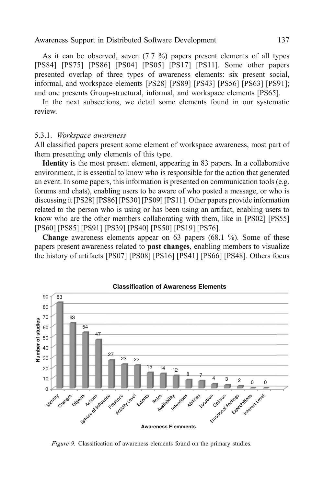<span id="page-24-0"></span>As it can be observed, seven (7.7 %) papers present elements of all types [PS84] [PS75] [PS86] [PS04] [PS05] [PS17] [PS11]. Some other papers presented overlap of three types of awareness elements: six present social, informal, and workspace elements [PS28] [PS89] [PS43] [PS56] [PS63] [PS91]; and one presents Group-structural, informal, and workspace elements [PS65].

In the next subsections, we detail some elements found in our systematic review.

#### 5.3.1. Workspace awareness

All classified papers present some element of workspace awareness, most part of them presenting only elements of this type.

Identity is the most present element, appearing in 83 papers. In a collaborative environment, it is essential to know who is responsible for the action that generated an event. In some papers, this information is presented on communication tools (e.g. forums and chats), enabling users to be aware of who posted a message, or who is discussing it [PS28] [PS86] [PS30] [PS09] [PS11]. Other papers provide information related to the person who is using or has been using an artifact, enabling users to know who are the other members collaborating with them, like in [PS02] [PS55] [PS60] [PS85] [PS91] [PS39] [PS40] [PS50] [PS19] [PS76].

Change awareness elements appear on 63 papers (68.1 %). Some of these papers present awareness related to **past changes**, enabling members to visualize the history of artifacts [PS07] [PS08] [PS16] [PS41] [PS66] [PS48]. Others focus



Figure 9. Classification of awareness elements found on the primary studies.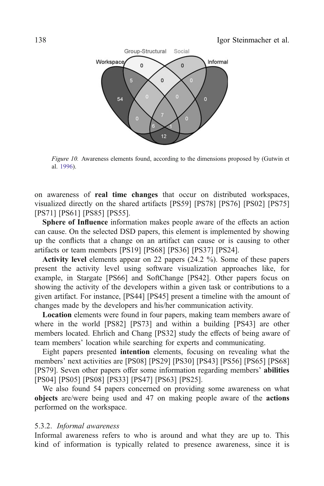<span id="page-25-0"></span>

Figure 10. Awareness elements found, according to the dimensions proposed by (Gutwin et al. [1996\)](#page-39-0).

on awareness of real time changes that occur on distributed workspaces, visualized directly on the shared artifacts [PS59] [PS78] [PS76] [PS02] [PS75] [PS71] [PS61] [PS85] [PS55].

Sphere of Influence information makes people aware of the effects an action can cause. On the selected DSD papers, this element is implemented by showing up the conflicts that a change on an artifact can cause or is causing to other artifacts or team members [PS19] [PS68] [PS36] [PS37] [PS24].

Activity level elements appear on 22 papers (24.2 %). Some of these papers present the activity level using software visualization approaches like, for example, in Stargate [PS66] and SoftChange [PS42]. Other papers focus on showing the activity of the developers within a given task or contributions to a given artifact. For instance, [PS44] [PS45] present a timeline with the amount of changes made by the developers and his/her communication activity.

Location elements were found in four papers, making team members aware of where in the world [PS82] [PS73] and within a building [PS43] are other members located. Ehrlich and Chang [PS32] study the effects of being aware of team members' location while searching for experts and communicating.

Eight papers presented intention elements, focusing on revealing what the members' next activities are [PS08] [PS29] [PS30] [PS43] [PS56] [PS65] [PS68] [PS79]. Seven other papers offer some information regarding members' abilities [PS04] [PS05] [PS08] [PS33] [PS47] [PS63] [PS25].

We also found 54 papers concerned on providing some awareness on what objects are/were being used and 47 on making people aware of the actions performed on the workspace.

#### 5.3.2. Informal awareness

Informal awareness refers to who is around and what they are up to. This kind of information is typically related to presence awareness, since it is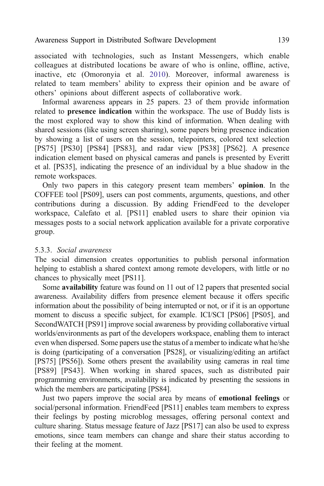associated with technologies, such as Instant Messengers, which enable colleagues at distributed locations be aware of who is online, offline, active, inactive, etc (Omoronyia et al. [2010\)](#page-42-0). Moreover, informal awareness is related to team members' ability to express their opinion and be aware of others' opinions about different aspects of collaborative work.

Informal awareness appears in 25 papers. 23 of them provide information related to **presence indication** within the workspace. The use of Buddy lists is the most explored way to show this kind of information. When dealing with shared sessions (like using screen sharing), some papers bring presence indication by showing a list of users on the session, telepointers, colored text selection [PS75] [PS30] [PS84] [PS83], and radar view [PS38] [PS62]. A presence indication element based on physical cameras and panels is presented by Everitt et al. [PS35], indicating the presence of an individual by a blue shadow in the remote workspaces.

Only two papers in this category present team members' opinion. In the COFFEE tool [PS09], users can post comments, arguments, questions, and other contributions during a discussion. By adding FriendFeed to the developer workspace, Calefato et al. [PS11] enabled users to share their opinion via messages posts to a social network application available for a private corporative group.

#### 5.3.3. Social awareness

The social dimension creates opportunities to publish personal information helping to establish a shared context among remote developers, with little or no chances to physically meet [PS11].

Some availability feature was found on 11 out of 12 papers that presented social awareness. Availability differs from presence element because it offers specific information about the possibility of being interrupted or not, or if it is an opportune moment to discuss a specific subject, for example. ICI/SCI [PS06] [PS05], and SecondWATCH [PS91] improve social awareness by providing collaborative virtual worlds/environments as part of the developers workspace, enabling them to interact even when dispersed. Some papers use the status of a member to indicate what he/she is doing (participating of a conversation [PS28], or visualizing/editing an artifact [PS75] [PS56]). Some others present the availability using cameras in real time [PS89] [PS43]. When working in shared spaces, such as distributed pair programming environments, availability is indicated by presenting the sessions in which the members are participating [PS84].

Just two papers improve the social area by means of emotional feelings or social/personal information. FriendFeed [PS11] enables team members to express their feelings by posting microblog messages, offering personal context and culture sharing. Status message feature of Jazz [PS17] can also be used to express emotions, since team members can change and share their status according to their feeling at the moment.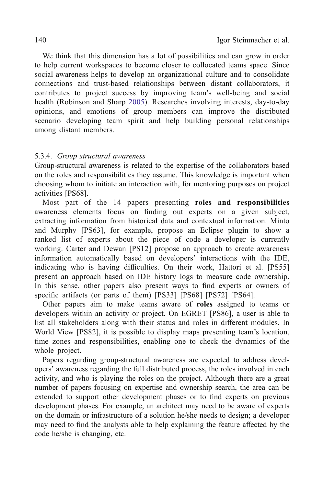We think that this dimension has a lot of possibilities and can grow in order to help current workspaces to become closer to collocated teams space. Since social awareness helps to develop an organizational culture and to consolidate connections and trust-based relationships between distant collaborators, it contributes to project success by improving team's well-being and social health (Robinson and Sharp [2005](#page-43-0)). Researches involving interests, day-to-day opinions, and emotions of group members can improve the distributed scenario developing team spirit and help building personal relationships among distant members.

#### 5.3.4. Group structural awareness

Group-structural awareness is related to the expertise of the collaborators based on the roles and responsibilities they assume. This knowledge is important when choosing whom to initiate an interaction with, for mentoring purposes on project activities [PS68].

Most part of the 14 papers presenting roles and responsibilities awareness elements focus on finding out experts on a given subject, extracting information from historical data and contextual information. Minto and Murphy [PS63], for example, propose an Eclipse plugin to show a ranked list of experts about the piece of code a developer is currently working. Carter and Dewan [PS12] propose an approach to create awareness information automatically based on developers' interactions with the IDE, indicating who is having difficulties. On their work, Hattori et al. [PS55] present an approach based on IDE history logs to measure code ownership. In this sense, other papers also present ways to find experts or owners of specific artifacts (or parts of them) [PS33] [PS68] [PS72] [PS64].

Other papers aim to make teams aware of roles assigned to teams or developers within an activity or project. On EGRET [PS86], a user is able to list all stakeholders along with their status and roles in different modules. In World View [PS82], it is possible to display maps presenting team's location, time zones and responsibilities, enabling one to check the dynamics of the whole project.

Papers regarding group-structural awareness are expected to address developers' awareness regarding the full distributed process, the roles involved in each activity, and who is playing the roles on the project. Although there are a great number of papers focusing on expertise and ownership search, the area can be extended to support other development phases or to find experts on previous development phases. For example, an architect may need to be aware of experts on the domain or infrastructure of a solution he/she needs to design; a developer may need to find the analysts able to help explaining the feature affected by the code he/she is changing, etc.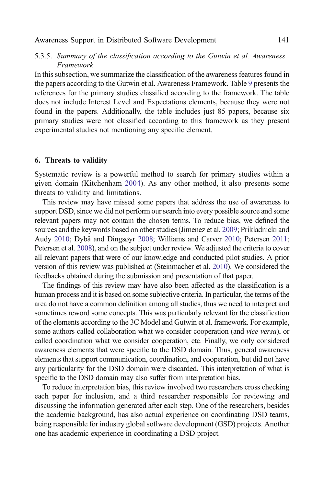#### <span id="page-28-0"></span>5.3.5. Summary of the classification according to the Gutwin et al. Awareness Framework

In this subsection, we summarize the classification of the awareness features found in the papers according to the Gutwin et al. Awareness Framework. Table [9](#page-29-0) presents the references for the primary studies classified according to the framework. The table does not include Interest Level and Expectations elements, because they were not found in the papers. Additionally, the table includes just 85 papers, because six primary studies were not classified according to this framework as they present experimental studies not mentioning any specific element.

#### 6. Threats to validity

Systematic review is a powerful method to search for primary studies within a given domain (Kitchenham [2004\)](#page-40-0). As any other method, it also presents some threats to validity and limitations.

This review may have missed some papers that address the use of awareness to support DSD, since we did not perform our search into every possible source and some relevant papers may not contain the chosen terms. To reduce bias, we defined the sources and the keywords based on other studies (Jimenez et al. [2009](#page-40-0); Prikladnicki and Audy [2010](#page-42-0); Dybå and Dingsøyr [2008](#page-37-0); Williams and Carver [2010](#page-45-0); Petersen [2011](#page-42-0); Petersen et al. [2008\)](#page-42-0), and on the subject under review. We adjusted the criteria to cover all relevant papers that were of our knowledge and conducted pilot studies. A prior version of this review was published at (Steinmacher et al. [2010\)](#page-44-0). We considered the feedbacks obtained during the submission and presentation of that paper.

The findings of this review may have also been affected as the classification is a human process and it is based on some subjective criteria. In particular, the terms of the area do not have a common definition among all studies, thus we need to interpret and sometimes reword some concepts. This was particularly relevant for the classification of the elements according to the 3C Model and Gutwin et al. framework. For example, some authors called collaboration what we consider cooperation (and *vice versa*), or called coordination what we consider cooperation, etc. Finally, we only considered awareness elements that were specific to the DSD domain. Thus, general awareness elements that support communication, coordination, and cooperation, but did not have any particularity for the DSD domain were discarded. This interpretation of what is specific to the DSD domain may also suffer from interpretation bias.

To reduce interpretation bias, this review involved two researchers cross checking each paper for inclusion, and a third researcher responsible for reviewing and discussing the information generated after each step. One of the researchers, besides the academic background, has also actual experience on coordinating DSD teams, being responsible for industry global software development (GSD) projects. Another one has academic experience in coordinating a DSD project.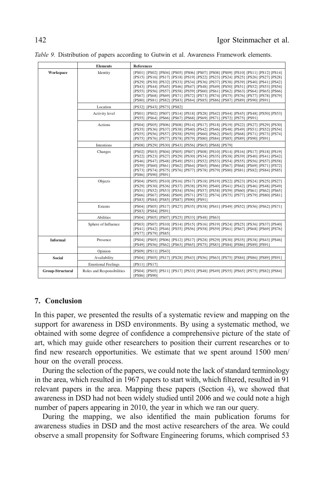<span id="page-29-0"></span>

|  |  |  | Table 9. Distribution of papers according to Gutwin et al. Awareness Framework elements. |  |  |  |  |
|--|--|--|------------------------------------------------------------------------------------------|--|--|--|--|
|--|--|--|------------------------------------------------------------------------------------------|--|--|--|--|

|                  | <b>Elements</b>            | <b>References</b>                                                                                                                                                                                                                                                                                                                                                                                                                                                                                                                                                                                                      |
|------------------|----------------------------|------------------------------------------------------------------------------------------------------------------------------------------------------------------------------------------------------------------------------------------------------------------------------------------------------------------------------------------------------------------------------------------------------------------------------------------------------------------------------------------------------------------------------------------------------------------------------------------------------------------------|
| Workspace        | Identity                   | [PS01] [PS02] [PS04] [PS05] [PS06] [PS07] [PS08] [PS09] [PS10] [PS11] [PS12] [PS14]<br>[PS15] [PS16] [PS17] [PS18] [PS19] [PS22] [PS23] [PS24] [PS25] [PS26] [PS27] [PS28]<br>[PS29] [PS30] [PS32] [PS33] [PS34] [PS36] [PS37] [PS38] [PS39] [PS40] [PS41] [PS42]<br>[PS43] [PS44] [PS45] [PS46] [PS47] [PS48] [PS49] [PS50] [PS51] [PS52] [PS53] [PS54]<br>[PS55] [PS56] [PS57] [PS58] [PS59] [PS60] [PS61] [PS62] [PS63] [PS64] [PS65] [PS66]<br>[PS67] [PS68] [PS69] [PS71] [PS72] [PS73] [PS74] [PS75] [PS76] [PS77] [PS78] [PS79]<br>[PS80] [PS81] [PS82] [PS83] [PS84] [PS85] [PS86] [PS87] [PS89] [PS90] [PS91] |
|                  | Location                   | [PS32] [PS43] [PS73] [PS82]                                                                                                                                                                                                                                                                                                                                                                                                                                                                                                                                                                                            |
|                  | Activity level             | [PS01] [PS02] [PS07] [PS14] [PS18] [PS28] [PS42] [PS44] [PS45] [PS48] [PS50] [PS53]<br>[PS55] [PS64] [PS66] [PS67] [PS68] [PS69] [PS71] [PS72] [PS75] [PS91]                                                                                                                                                                                                                                                                                                                                                                                                                                                           |
|                  | Actions                    | [PS04] [PS05] [PS06] [PS08] [PS14] [PS17] [PS18] [PS19] [PS22] [PS27] [PS29] [PS30]<br>[PS35] [PS36] [PS37] [PS38] [PS40] [PS42] [PS46] [PS48] [PS49] [PS51] [PS52] [PS54]<br>[PS55] [PS56] [PS57] [PS58] [PS59] [PS60] [PS62] [PS65] [PS68] [PS71] [PS73] [PS74]<br>[PS75] [PS76] [PS77] [PS78] [PS79] [PS80] [PS84] [PS85] [PS89] [PS90] [PS91]                                                                                                                                                                                                                                                                      |
|                  | Intentions                 | [PS08] [PS29] [PS30] [PS43] [PS56] [PS65] [PS68] [PS79]                                                                                                                                                                                                                                                                                                                                                                                                                                                                                                                                                                |
|                  | Changes                    | [PS02] [PS03] [PS04] [PS05] [PS07] [PS08] [PS10] [PS14] [PS16] [PS17] [PS18] [PS19]<br>[PS22] [PS23] [PS27] [PS29] [PS30] [PS34] [PS35] [PS38] [PS39] [PS40] [PS41] [PS42]<br>[PS46] [PS47] [PS48] [PS49] [PS51] [PS52] [PS53] [PS54] [PS55] [PS56] [PS57] [PS58]<br>[PS59] [PS60] [PS61] [PS62] [PS64] [PS65] [PS66] [PS67] [PS68] [PS69] [PS71] [PS72]<br>[PS73] [PS74] [PS75] [PS76] [PS77] [PS78] [PS79] [PS80] [PS81] [PS82] [PS84] [PS85]<br>[PS86] [PS90] [PS91]                                                                                                                                                |
|                  | Objects                    | [PS04] [PS05] [PS10] [PS16] [PS17] [PS18] [PS19] [PS22] [PS23] [PS24] [PS25] [PS27]<br>[PS29] [PS30] [PS36] [PS37] [PS38] [PS39] [PS40] [PS41] [PS42] [PS46] [PS48] [PS49]<br>[PS51] [PS52] [PS53] [PS54] [PS56] [PS57] [PS58] [PS59] [PS60] [PS61] [PS62] [PS65]<br>[PS66] [PS67] [PS68] [PS69] [PS71] [PS72] [PS74] [PS75] [PS77] [PS79] [PS80] [PS81]<br>[PS83] [PS84] [PS85] [PS87] [PS90] [PS91]                                                                                                                                                                                                                  |
|                  | Extents                    | [PS04] [PS05] [PS17] [PS27] [PS35] [PS38] [PS41] [PS49] [PS52] [PS56] [PS62] [PS71]<br>[PS83] [PS84] [PS91]                                                                                                                                                                                                                                                                                                                                                                                                                                                                                                            |
|                  | Abilities                  | [PS04] [PS05] [PS07] [PS25] [PS33] [PS48] [PS63]                                                                                                                                                                                                                                                                                                                                                                                                                                                                                                                                                                       |
|                  | Sphere of Influence        | [PS03] [PS07] [PS10] [PS14] [PS15] [PS16] [PS19] [PS24] [PS25] [PS36] [PS37] [PS40]<br>[PS41] [PS42] [PS46] [PS55] [PS56] [PS58] [PS59] [PS61] [PS67] [PS68] [PS69] [PS76]<br>[PS77] [PS79] [PS85]                                                                                                                                                                                                                                                                                                                                                                                                                     |
| <b>Informal</b>  | Presence                   | [PS04] [PS05] [PS06] [PS12] [PS17] [PS28] [PS29] [PS30] [PS35] [PS38] [PS43] [PS46]<br>[PS49] [PS56] [PS62] [PS63] [PS65] [PS75] [PS83] [PS84] [PS86] [PS89] [PS91]                                                                                                                                                                                                                                                                                                                                                                                                                                                    |
|                  | Opinion                    | [PS09] [PS11] [PS43]                                                                                                                                                                                                                                                                                                                                                                                                                                                                                                                                                                                                   |
| <b>Social</b>    | Availability               | [PS04] [PS05] [PS17] [PS28] [PS43] [PS56] [PS63] [PS75] [PS84] [PS86] [PS89] [PS91]                                                                                                                                                                                                                                                                                                                                                                                                                                                                                                                                    |
|                  | <b>Emotional Feelings</b>  | [PS11] [PS17]                                                                                                                                                                                                                                                                                                                                                                                                                                                                                                                                                                                                          |
| Group-Structural | Roles and Responsibilities | [PS04] [PS05] [PS11] [PS17] [PS33] [PS48] [PS49] [PS55] [PS65] [PS75] [PS82] [PS84]<br><b>[PS86] [PS90]</b>                                                                                                                                                                                                                                                                                                                                                                                                                                                                                                            |

#### 7. Conclusion

In this paper, we presented the results of a systematic review and mapping on the support for awareness in DSD environments. By using a systematic method, we obtained with some degree of confidence a comprehensive picture of the state of art, which may guide other researchers to position their current researches or to find new research opportunities. We estimate that we spent around 1500 men/ hour on the overall process.

During the selection of the papers, we could note the lack of standard terminology in the area, which resulted in 1967 papers to start with, which filtered, resulted in 91 relevant papers in the area. Mapping these papers (Section [4](#page-13-0)), we showed that awareness in DSD had not been widely studied until 2006 and we could note a high number of papers appearing in 2010, the year in which we ran our query.

During the mapping, we also identified the main publication forums for awareness studies in DSD and the most active researchers of the area. We could observe a small propensity for Software Engineering forums, which comprised 53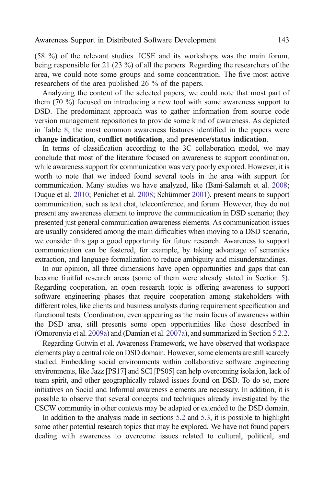(58 %) of the relevant studies. ICSE and its workshops was the main forum, being responsible for 21 (23 %) of all the papers. Regarding the researchers of the area, we could note some groups and some concentration. The five most active researchers of the area published 26 % of the papers.

Analyzing the content of the selected papers, we could note that most part of them (70 %) focused on introducing a new tool with some awareness support to DSD. The predominant approach was to gather information from source code version management repositories to provide some kind of awareness. As depicted in Table [8](#page-23-0), the most common awareness features identified in the papers were change indication, conflict notification, and presence/status indication.

In terms of classification according to the 3C collaboration model, we may conclude that most of the literature focused on awareness to support coordination, while awareness support for communication was very poorly explored. However, it is worth to note that we indeed found several tools in the area with support for communication. Many studies we have analyzed, like (Bani-Salameh et al. [2008](#page-34-0); Duque et al. [2010;](#page-37-0) Penichet et al. [2008](#page-42-0); Schümmer [2001](#page-43-0)), present means to support communication, such as text chat, teleconference, and forum. However, they do not present any awareness element to improve the communication in DSD scenario; they presented just general communication awareness elements. As communication issues are usually considered among the main difficulties when moving to a DSD scenario, we consider this gap a good opportunity for future research. Awareness to support communication can be fostered, for example, by taking advantage of semantics extraction, and language formalization to reduce ambiguity and misunderstandings.

In our opinion, all three dimensions have open opportunities and gaps that can become fruitful research areas (some of them were already stated in Section [5\)](#page-15-0). Regarding cooperation, an open research topic is offering awareness to support software engineering phases that require cooperation among stakeholders with different roles, like clients and business analysts during requirement specification and functional tests. Coordination, even appearing as the main focus of awareness within the DSD area, still presents some open opportunities like those described in (Omoronyia et al. [2009a\)](#page-42-0) and (Damian et al. [2007a\)](#page-36-0), and summarized in Section [5.2.2](#page-19-0).

Regarding Gutwin et al. Awareness Framework, we have observed that workspace elements play a central role on DSD domain. However, some elements are still scarcely studied. Embedding social environments within collaborative software engineering environments, like Jazz [PS17] and SCI [PS05] can help overcoming isolation, lack of team spirit, and other geographically related issues found on DSD. To do so, more initiatives on Social and Informal awareness elements are necessary. In addition, it is possible to observe that several concepts and techniques already investigated by the CSCW community in other contexts may be adapted or extended to the DSD domain.

In addition to the analysis made in sections [5.2](#page-16-0) and [5.3](#page-22-0), it is possible to highlight some other potential research topics that may be explored. We have not found papers dealing with awareness to overcome issues related to cultural, political, and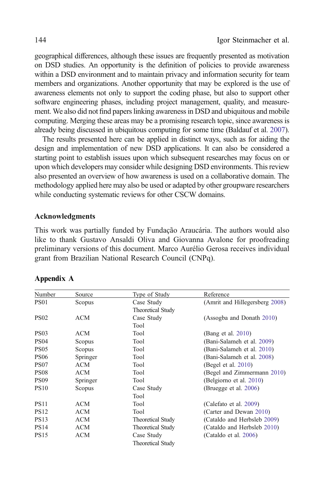geographical differences, although these issues are frequently presented as motivation on DSD studies. An opportunity is the definition of policies to provide awareness within a DSD environment and to maintain privacy and information security for team members and organizations. Another opportunity that may be explored is the use of awareness elements not only to support the coding phase, but also to support other software engineering phases, including project management, quality, and measurement. We also did not find papers linking awareness in DSD and ubiquitous and mobile computing. Merging these areas may be a promising research topic, since awareness is already being discussed in ubiquitous computing for some time (Baldauf et al. [2007](#page-34-0)).

The results presented here can be applied in distinct ways, such as for aiding the design and implementation of new DSD applications. It can also be considered a starting point to establish issues upon which subsequent researches may focus on or upon which developers may consider while designing DSD environments. This review also presented an overview of how awareness is used on a collaborative domain. The methodology applied here may also be used or adapted by other groupware researchers while conducting systematic reviews for other CSCW domains.

#### Acknowledgments

This work was partially funded by Fundação Araucária. The authors would also like to thank Gustavo Ansaldi Oliva and Giovanna Avalone for proofreading preliminary versions of this document. Marco Aurélio Gerosa receives individual grant from Brazilian National Research Council (CNPq).

| Number            | Source     | Type of Study            | Reference                      |
|-------------------|------------|--------------------------|--------------------------------|
| <b>PS01</b>       | Scopus     | Case Study               | (Amrit and Hillegersberg 2008) |
|                   |            | <b>Theoretical Study</b> |                                |
| <b>PS02</b>       | <b>ACM</b> | Case Study               | (Assogba and Donath 2010)      |
|                   |            | Tool                     |                                |
| PS <sub>0</sub> 3 | ACM        | Tool                     | (Bang et al. 2010)             |
| <b>PS04</b>       | Scopus     | Tool                     | (Bani-Salameh et al. 2009)     |
| <b>PS05</b>       | Scopus     | Tool                     | (Bani-Salameh et al. 2010)     |
| <b>PS06</b>       | Springer   | Tool                     | (Bani-Salameh et al. 2008)     |
| PS <sub>07</sub>  | ACM        | Tool                     | (Begel et al. $2010$ )         |
| <b>PS08</b>       | <b>ACM</b> | Tool                     | (Begel and Zimmermann 2010)    |
| <b>PS09</b>       | Springer   | Tool                     | (Belgiorno et al. 2010)        |
| <b>PS10</b>       | Scopus     | Case Study               | (Bruegge et al. 2006)          |
|                   |            | Tool                     |                                |
| <b>PS11</b>       | ACM        | Tool                     | (Calefato et al. 2009)         |
| <b>PS12</b>       | <b>ACM</b> | Tool                     | (Carter and Dewan 2010)        |
| <b>PS13</b>       | <b>ACM</b> | <b>Theoretical Study</b> | (Cataldo and Herbsleb 2009)    |
| <b>PS14</b>       | <b>ACM</b> | <b>Theoretical Study</b> | (Cataldo and Herbsleb 2010)    |
| <b>PS15</b>       | <b>ACM</b> | Case Study               | (Cataldo et al. 2006)          |
|                   |            | <b>Theoretical Study</b> |                                |

#### Appendix A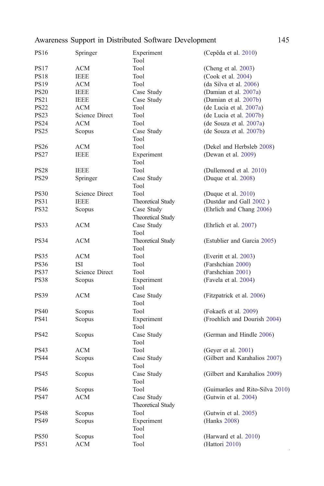| <b>PS16</b> | Springer              | Experiment                      | (Cepêda et al. 2010)            |
|-------------|-----------------------|---------------------------------|---------------------------------|
|             |                       | Tool                            |                                 |
| <b>PS17</b> | ACM                   | Tool                            | (Cheng et al. 2003)             |
| <b>PS18</b> | <b>IEEE</b>           | Tool                            | (Cook et al. 2004)              |
| <b>PS19</b> | ACM                   | Tool                            | (da Silva et al. 2006)          |
| <b>PS20</b> | <b>IEEE</b>           | Case Study                      | (Damian et al. 2007a)           |
| <b>PS21</b> | <b>IEEE</b>           | Case Study                      | (Damian et al. 2007b)           |
| <b>PS22</b> | ACM                   | Tool                            | (de Lucia et al. 2007a)         |
| <b>PS23</b> | <b>Science Direct</b> | Tool                            | (de Lucia et al. 2007b)         |
| <b>PS24</b> | <b>ACM</b>            | Tool                            | (de Souza et al. 2007a)         |
| <b>PS25</b> | Scopus                | Case Study<br>Tool              | (de Souza et al. 2007b)         |
| <b>PS26</b> | ACM                   | Tool                            | (Dekel and Herbsleb 2008)       |
| PS27        | <b>IEEE</b>           | Experiment<br>Tool              | (Dewan et al. 2009)             |
| <b>PS28</b> | <b>IEEE</b>           | Tool                            | (Dullemond et al. 2010)         |
| <b>PS29</b> | Springer              | Case Study<br>Tool              | (Duque et al. 2008)             |
| <b>PS30</b> | Science Direct        | Tool                            | (Duque et al. 2010)             |
| <b>PS31</b> | <b>IEEE</b>           | <b>Theoretical Study</b>        | (Dustdar and Gall 2002)         |
| <b>PS32</b> | Scopus                | Case Study<br>Theoretical Study | (Ehrlich and Chang 2006)        |
| PS33        | ACM                   | Case Study<br>Tool              | (Ehrlich et al. 2007)           |
| <b>PS34</b> | <b>ACM</b>            | Theoretical Study<br>Tool       | (Estublier and Garcia 2005)     |
| <b>PS35</b> | ACM                   | Tool                            | (Everitt et al. 2003)           |
| <b>PS36</b> | ISI                   | Tool                            | (Farshchian 2000)               |
| PS37        | Science Direct        | Tool                            | (Farshchian 2001)               |
| <b>PS38</b> | Scopus                | Experiment<br>Tool              | (Favela et al. 2004)            |
| <b>PS39</b> | ACM                   | Case Study<br>Tool              | (Fitzpatrick et al. 2006)       |
| <b>PS40</b> | Scopus                | Tool                            | (Fokaefs et al. 2009)           |
| <b>PS41</b> | Scopus                | Experiment<br>Tool              | (Froehlich and Dourish 2004)    |
| <b>PS42</b> | Scopus                | Case Study<br>Tool              | (German and Hindle 2006)        |
| PS43        | ACM                   | Tool                            | (Geyer et al. 2001)             |
| <b>PS44</b> | Scopus                | Case Study<br>Tool              | (Gilbert and Karahalios 2007)   |
| <b>PS45</b> | Scopus                | Case Study<br>Tool              | (Gilbert and Karahalios 2009)   |
| <b>PS46</b> | Scopus                | Tool                            | (Guimarães and Rito-Silva 2010) |
| <b>PS47</b> | ACM                   | Case Study<br>Theoretical Study | (Gutwin et al. 2004)            |
| <b>PS48</b> | Scopus                | Tool                            | (Gutwin et al. 2005)            |
| PS49        | Scopus                | Experiment<br>Tool              | (Hanks 2008)                    |
| <b>PS50</b> | Scopus                | Tool                            | (Harward et al. 2010)           |
| <b>PS51</b> | <b>ACM</b>            | Tool                            | (Hattori 2010)                  |
|             |                       |                                 |                                 |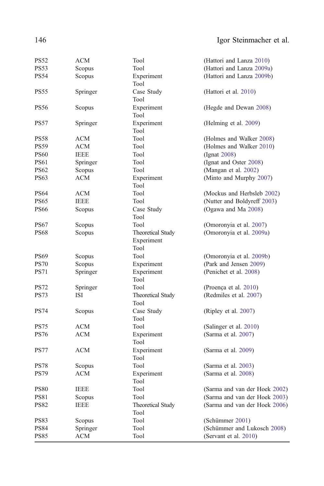<span id="page-33-0"></span>

| <b>PS52</b>                | ACM                    | Tool                                   | (Hattori and Lanza 2010)                             |
|----------------------------|------------------------|----------------------------------------|------------------------------------------------------|
| PS53                       | Scopus                 | Tool                                   | (Hattori and Lanza 2009a)                            |
| <b>PS54</b>                | Scopus                 | Experiment<br>Tool                     | (Hattori and Lanza 2009b)                            |
| <b>PS55</b>                | Springer               | Case Study<br>Tool                     | (Hattori et al. 2010)                                |
| <b>PS56</b>                | Scopus                 | Experiment<br>Tool                     | (Hegde and Dewan 2008)                               |
| <b>PS57</b>                | Springer               | Experiment<br>Tool                     | (Helming et al. 2009)                                |
| <b>PS58</b>                | ACM                    | Tool                                   | (Holmes and Walker 2008)                             |
| <b>PS59</b>                | <b>ACM</b>             | Tool                                   | (Holmes and Walker 2010)                             |
| <b>PS60</b>                | <b>IEEE</b>            | Tool                                   | (Ignat 2008)                                         |
| <b>PS61</b>                | Springer               | Tool                                   | (Ignat and Oster 2008)                               |
| <b>PS62</b>                | Scopus                 | Tool                                   | (Mangan et al. 2002)                                 |
| <b>PS63</b>                | <b>ACM</b>             | Experiment<br>Tool                     | (Minto and Murphy 2007)                              |
| <b>PS64</b>                | ACM                    | Tool                                   | (Mockus and Herbsleb 2002)                           |
| <b>PS65</b>                | <b>IEEE</b>            | Tool                                   | (Nutter and Boldyreff 2003)                          |
| <b>PS66</b>                | Scopus                 | Case Study<br>Tool                     | (Ogawa and Ma 2008)                                  |
| <b>PS67</b>                | Scopus                 | Tool                                   | (Omoronyia et al. 2007)                              |
| <b>PS68</b>                | Scopus                 | <b>Theoretical Study</b><br>Experiment | (Omoronyia et al. 2009a)                             |
|                            |                        | Tool                                   |                                                      |
| <b>PS69</b>                | Scopus                 | Tool                                   | (Omoronyia et al. 2009b)                             |
| <b>PS70</b>                | Scopus                 | Experiment                             | (Park and Jensen 2009)                               |
| <b>PS71</b>                | Springer               | Experiment<br>Tool                     | (Penichet et al. 2008)                               |
| <b>PS72</b>                | Springer               | Tool                                   | (Proença et al. 2010)                                |
| <b>PS73</b>                | ISI                    | <b>Theoretical Study</b><br>Tool       | (Redmiles et al. 2007)                               |
| <b>PS74</b>                | Scopus                 | Case Study<br>Tool                     | (Ripley et al. 2007)                                 |
| <b>PS75</b>                | <b>ACM</b>             | Tool                                   | (Salinger et al. 2010)                               |
| <b>PS76</b>                | ACM                    | Experiment<br>Tool                     | (Sarma et al. 2007)                                  |
| <b>PS77</b>                | ACM                    | Experiment<br>Tool                     | (Sarma et al. 2009)                                  |
| <b>PS78</b>                | Scopus                 | Tool                                   | (Sarma et al. 2003)                                  |
| <b>PS79</b>                | <b>ACM</b>             | Experiment<br>Tool                     | (Sarma et al. 2008)                                  |
| <b>PS80</b>                | <b>IEEE</b>            | Tool                                   | (Sarma and van der Hoek 2002)                        |
| <b>PS81</b>                | Scopus                 | Tool                                   | (Sarma and van der Hoek 2003)                        |
| <b>PS82</b>                | <b>IEEE</b>            | <b>Theoretical Study</b><br>Tool       | (Sarma and van der Hoek 2006)                        |
| <b>PS83</b>                | Scopus                 | Tool                                   | (Schümmer 2001)                                      |
| <b>PS84</b><br><b>PS85</b> | Springer<br><b>ACM</b> | Tool<br>Tool                           | (Schümmer and Lukosch 2008)<br>(Servant et al. 2010) |
|                            |                        |                                        |                                                      |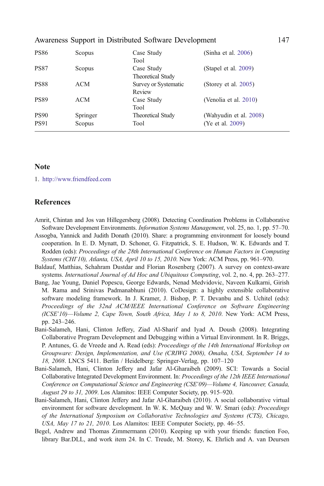<span id="page-34-0"></span>

| <b>PS86</b> | Scopus   | Case Study               | (Sinha et al. 2006)     |
|-------------|----------|--------------------------|-------------------------|
|             |          | Tool                     |                         |
| <b>PS87</b> | Scopus   | Case Study               | (Stapel et al. $2009$ ) |
|             |          | Theoretical Study        |                         |
| <b>PS88</b> | ACM      | Survey or Systematic     | (Storey et al. 2005)    |
|             |          | Review                   |                         |
| <b>PS89</b> | ACM      | Case Study               | (Venolia et al. 2010)   |
|             |          | Tool                     |                         |
| <b>PS90</b> | Springer | <b>Theoretical Study</b> | (Wahyudin et al. 2008)  |
| <b>PS91</b> | Scopus   | Tool                     | (Ye et al. 2009)        |

#### Note

1. <http://www.friendfeed.com>

#### **References**

- Amrit, Chintan and Jos van Hillegersberg (2008). Detecting Coordination Problems in Collaborative Software Development Environments. Information Systems Management, vol. 25, no. 1, pp. 57–70.
- Assogba, Yannick and Judith Donath (2010). Share: a programming environment for loosely bound cooperation. In E. D. Mynatt, D. Schoner, G. Fitzpatrick, S. E. Hudson, W. K. Edwards and T. Rodden (eds): Proceedings of the 28th International Conference on Human Factors in Computing Systems (CHI'10), Atlanta, USA, April 10 to 15, 2010. New York: ACM Press, pp. 961–970.
- Baldauf, Matthias, Schahram Dustdar and Florian Rosenberg (2007). A survey on context-aware systems. International Journal of Ad Hoc and Ubiquitous Computing, vol. 2, no. 4, pp. 263-277.
- Bang, Jae Young, Daniel Popescu, George Edwards, Nenad Medvidovic, Naveen Kulkarni, Girish M. Rama and Srinivas Padmanabhuni (2010). CoDesign: a highly extensible collaborative software modeling framework. In J. Kramer, J. Bishop, P. T. Devanbu and S. Uchitel (eds): Proceedings of the 32nd ACM/IEEE International Conference on Software Engineering (ICSE'10)—Volume 2, Cape Town, South Africa, May 1 to 8, 2010. New York: ACM Press, pp. 243–246.
- Bani-Salameh, Hani, Clinton Jeffery, Ziad Al-Sharif and Iyad A. Doush (2008). Integrating Collaborative Program Development and Debugging within a Virtual Environment. In R. Briggs, P. Antunes, G. de Vreede and A. Read (eds): Proceedings of the 14th International Workshop on Groupware: Design, Implementation, and Use (CRIWG 2008), Omaha, USA, September 14 to 18, 2008. LNCS 5411. Berlin / Heidelberg: Springer-Verlag, pp. 107–120
- Bani-Salameh, Hani, Clinton Jeffery and Jafar Al-Gharaibeh (2009). SCI: Towards a Social Collaborative Integrated Development Environment. In: Proceedings of the 12th IEEE International Conference on Computational Science and Engineering (CSE'09)—Volume 4, Vancouver, Canada, August 29 to 31, 2009. Los Alamitos: IEEE Computer Society, pp. 915–920.
- Bani-Salameh, Hani, Clinton Jeffery and Jafar Al-Gharaibeh (2010). A social collaborative virtual environment for software development. In W. K. McQuay and W. W. Smari (eds): Proceedings of the International Symposium on Collaborative Technologies and Systems (CTS), Chicago, USA, May 17 to 21, 2010. Los Alamitos: IEEE Computer Society, pp. 46–55.
- Begel, Andrew and Thomas Zimmermann (2010). Keeping up with your friends: function Foo, library Bar.DLL, and work item 24. In C. Treude, M. Storey, K. Ehrlich and A. van Deursen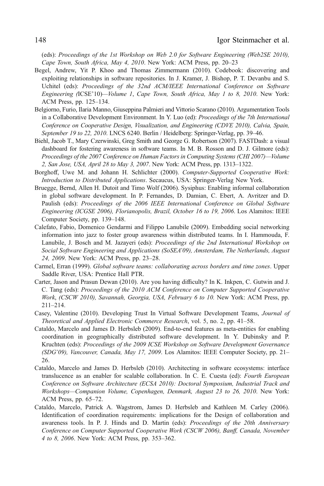<span id="page-35-0"></span>(eds): Proceedings of the 1st Workshop on Web 2.0 for Software Engineering (Web2SE 2010), Cape Town, South Africa, May 4, 2010. New York: ACM Press, pp. 20–23

- Begel, Andrew, Yit P. Khoo and Thomas Zimmermann (2010). Codebook: discovering and exploiting relationships in software repositories. In J. Kramer, J. Bishop, P. T. Devanbu and S. Uchitel (eds): Proceedings of the 32nd ACM/IEEE International Conference on Software Engineering (ICSE'10)—Volume 1, Cape Town, South Africa, May 1 to 8, 2010. New York: ACM Press, pp. 125–134.
- Belgiorno, Furio, Ilaria Manno, Giuseppina Palmieri and Vittorio Scarano (2010). Argumentation Tools in a Collaborative Development Environment. In Y. Luo (ed): Proceedings of the 7th International Conference on Cooperative Design, Visualization, and Engineering (CDVE 2010), Calvia, Spain, September 19 to 22, 2010. LNCS 6240. Berlin / Heidelberg: Springer-Verlag, pp. 39–46.
- Biehl, Jacob T., Mary Czerwinski, Greg Smith and George G. Robertson (2007). FASTDash: a visual dashboard for fostering awareness in software teams. In M. B. Rosson and D. J. Gilmore (eds): Proceedings of the 2007 Conference on Human Factors in Computing Systems (CHI 2007)—Volume 2, San Jose, USA, April 28 to May 3, 2007. New York: ACM Press, pp. 1313–1322.
- Borghoff, Uwe M. and Johann H. Schlichter (2000). Computer-Supported Cooperative Work: Introduction to Distributed Applications. Secaucus, USA: Springer-Verlag New York.
- Bruegge, Bernd, Allen H. Dutoit and Timo Wolf (2006). Sysiphus: Enabling informal collaboration in global software development. In P. Fernandes, D. Damian, C. Ebert, A. Avritzer and D. Paulish (eds): Proceedings of the 2006 IEEE International Conference on Global Software Engineering (ICGSE 2006), Florianopolis, Brazil, October 16 to 19, 2006. Los Alamitos: IEEE Computer Society, pp. 139–148.
- Calefato, Fabio, Domenico Gendarmi and Filippo Lanubile (2009). Embedding social networking information into jazz to foster group awareness within distributed teams. In I. Hammouda, F. Lanubile, J. Bosch and M. Jazayeri (eds): Proceedings of the 2nd International Workshop on Social Software Engineering and Applications (SoSEA'09), Amsterdam, The Netherlands, August 24, 2009. New York: ACM Press, pp. 23–28.
- Carmel, Erran (1999). Global software teams: collaborating across borders and time zones. Upper Saddle River, USA: Prentice Hall PTR.
- Carter, Jason and Prasun Dewan (2010). Are you having difficulty? In K. Inkpen, C. Gutwin and J. C. Tang (eds): Proceedings of the 2010 ACM Conference on Computer Supported Cooperative Work, (CSCW 2010), Savannah, Georgia, USA, February 6 to 10. New York: ACM Press, pp. 211–214.
- Casey, Valentine (2010). Developing Trust In Virtual Software Development Teams, Journal of Theoretical and Applied Electronic Commerce Research, vol. 5, no. 2, pp. 41–58.
- Cataldo, Marcelo and James D. Herbsleb (2009). End-to-end features as meta-entities for enabling coordination in geographically distributed software development. In Y. Dubinsky and P. Kruchten (eds): Proceedings of the 2009 ICSE Workshop on Software Development Governance (SDG'09), Vancouver, Canada, May 17, 2009. Los Alamitos: IEEE Computer Society, pp. 21– 26.
- Cataldo, Marcelo and James D. Herbsleb (2010). Architecting in software ecosystems: interface translucence as an enabler for scalable collaboration. In C. E. Cuesta (ed): Fourth European Conference on Software Architecture (ECSA 2010): Doctoral Symposium, Industrial Track and Workshops—Companion Volume, Copenhagen, Denmark, August 23 to 26, 2010. New York: ACM Press, pp. 65–72.
- Cataldo, Marcelo, Patrick A. Wagstrom, James D. Herbsleb and Kathleen M. Carley (2006). Identification of coordination requirements: implications for the Design of collaboration and awareness tools. In P. J. Hinds and D. Martin (eds): Proceedings of the 20th Anniversary Conference on Computer Supported Cooperative Work (CSCW 2006), Banff, Canada, November 4 to 8, 2006. New York: ACM Press, pp. 353–362.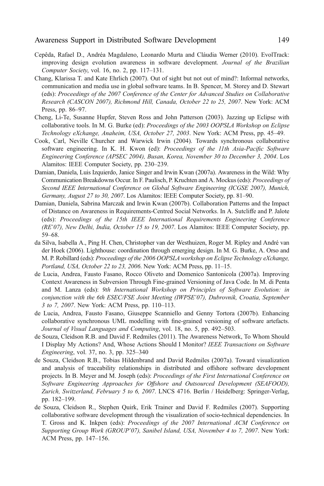- <span id="page-36-0"></span>Cepêda, Rafael D., Andréa Magdaleno, Leonardo Murta and Cláudia Werner (2010). EvolTrack: improving design evolution awareness in software development. Journal of the Brazilian Computer Society, vol. 16, no. 2, pp. 117–131.
- Chang, Klarissa T. and Kate Ehrlich (2007). Out of sight but not out of mind?: Informal networks, communication and media use in global software teams. In B. Spencer, M. Storey and D. Stewart (eds): Proceedings of the 2007 Conference of the Center for Advanced Studies on Collaborative Research (CASCON 2007), Richmond Hill, Canada, October 22 to 25, 2007. New York: ACM Press, pp. 86–97.
- Cheng, Li-Te, Susanne Hupfer, Steven Ross and John Patterson (2003). Jazzing up Eclipse with collaborative tools. In M. G. Burke (ed): Proceedings of the 2003 OOPSLA Workshop on Eclipse Technology eXchange, Anaheim, USA, October 27, 2003. New York: ACM Press, pp. 45–49.
- Cook, Carl, Neville Churcher and Warwick Irwin (2004). Towards synchronous collaborative software engineering. In K. H. Kwon (ed): *Proceedings of the 11th Asia-Pacific Software* Engineering Conference (APSEC 2004), Busan, Korea, November 30 to December 3, 2004. Los Alamitos: IEEE Computer Society, pp. 230–239.
- Damian, Daniela, Luis Izquierdo, Janice Singer and Irwin Kwan (2007a). Awareness in the Wild: Why Communication Breakdowns Occur. In F. Paulisch, P. Kruchten and A. Mockus (eds): Proceedings of Second IEEE International Conference on Global Software Engineering (ICGSE 2007), Munich, Germany, August 27 to 30, 2007. Los Alamitos: IEEE Computer Society, pp. 81–90.
- Damian, Daniela, Sabrina Marczak and Irwin Kwan (2007b). Collaboration Patterns and the Impact of Distance on Awareness in Requirements-Centred Social Networks. In A. Sutcliffe and P. Jalote (eds): Proceedings of the 15th IEEE International Requirements Engineering Conference (RE'07), New Delhi, India, October 15 to 19, 2007. Los Alamitos: IEEE Computer Society, pp. 59–68.
- da Silva, Isabella A., Ping H. Chen, Christopher van der Westhuizen, Roger M. Ripley and André van der Hoek (2006). Lighthouse: coordination through emerging design. In M. G. Burke, A. Orso and M. P. Robillard (eds): Proceedings of the 2006 OOPSLA workshop on Eclipse Technology eXchange, Portland, USA, October 22 to 23, 2006. New York: ACM Press, pp. 11–15.
- de Lucia, Andrea, Fausto Fasano, Rocco Oliveto and Domenico Santonicola (2007a). Improving Context Awareness in Subversion Through Fine-grained Versioning of Java Code. In M. di Penta and M. Lanza (eds): 9th International Workshop on Principles of Software Evolution: in conjunction with the 6th ESEC/FSE Joint Meeting (IWPSE'07), Dubrovnik, Croatia, September 3 to 7, 2007. New York: ACM Press, pp. 110–113.
- de Lucia, Andrea, Fausto Fasano, Giuseppe Scanniello and Genny Tortora (2007b). Enhancing collaborative synchronous UML modelling with fine-grained versioning of software artefacts. Journal of Visual Languages and Computing, vol. 18, no. 5, pp. 492–503.
- de Souza, Cleidson R.B. and David F. Redmiles (2011). The Awareness Network, To Whom Should I Display My Actions? And, Whose Actions Should I Monitor? IEEE Transactions on Software Engineering, vol. 37, no. 3, pp. 325–340
- de Souza, Cleidson R.B., Tobias Hildenbrand and David Redmiles (2007a). Toward visualization and analysis of traceability relationships in distributed and offshore software development projects. In B. Meyer and M. Joseph (eds): Proceedings of the First International Conference on Software Engineering Approaches for Offshore and Outsourced Development (SEAFOOD), Zurich, Switzerland, February 5 to 6, 2007. LNCS 4716. Berlin / Heidelberg: Springer-Verlag, pp. 182–199.
- de Souza, Cleidson R., Stephen Quirk, Erik Trainer and David F. Redmiles (2007). Supporting collaborative software development through the visualization of socio-technical dependencies. In T. Gross and K. Inkpen (eds): Proceedings of the 2007 International ACM Conference on Supporting Group Work (GROUP'07), Sanibel Island, USA, November 4 to 7, 2007. New York: ACM Press, pp. 147–156.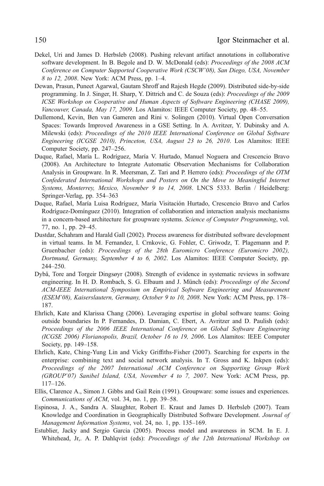- <span id="page-37-0"></span>Dekel, Uri and James D. Herbsleb (2008). Pushing relevant artifact annotations in collaborative software development. In B. Begole and D. W. McDonald (eds): *Proceedings of the 2008 ACM* Conference on Computer Supported Cooperative Work (CSCW'08), San Diego, USA, November 8 to 12, 2008. New York: ACM Press, pp. 1–4.
- Dewan, Prasun, Puneet Agarwal, Gautam Shroff and Rajesh Hegde (2009). Distributed side-by-side programming. In J. Singer, H. Sharp, Y. Dittrich and C. de Souza (eds): Proceedings of the 2009 ICSE Workshop on Cooperative and Human Aspects of Software Engineering (CHASE 2009), Vancouver, Canada, May 17, 2009. Los Alamitos: IEEE Computer Society, pp. 48–55.
- Dullemond, Kevin, Ben van Gameren and Rini v. Solingen (2010). Virtual Open Conversation Spaces: Towards Improved Awareness in a GSE Setting. In A. Avritzer, Y. Dubinsky and A. Milewski (eds): Proceedings of the 2010 IEEE International Conference on Global Software Engineering (ICGSE 2010), Princeton, USA, August 23 to 26, 2010. Los Alamitos: IEEE Computer Society, pp. 247–256.
- Duque, Rafael, María L. Rodríguez, María V. Hurtado, Manuel Noguera and Crescencio Bravo (2008). An Architecture to Integrate Automatic Observation Mechanisms for Collaboration Analysis in Groupware. In R. Meersman, Z. Tari and P. Herrero (eds): Proceedings of the OTM Confederated International Workshops and Posters on On the Move to Meaningful Internet Systems, Monterrey, Mexico, November 9 to 14, 2008. LNCS 5333. Berlin / Heidelberg: Springer-Verlag, pp. 354–363
- Duque, Rafael, María Luisa Rodríguez, María Visitación Hurtado, Crescencio Bravo and Carlos Rodríguez-Domínguez (2010). Integration of collaboration and interaction analysis mechanisms in a concern-based architecture for groupware systems. Science of Computer Programming, vol. 77, no. 1, pp. 29–45.
- Dustdar, Schahram and Harald Gall (2002). Process awareness for distributed software development in virtual teams. In M. Fernandez, I. Crnkovic, G. Fohler, C. Griwodz, T. Plagemann and P. Gruenbacher (eds): Proceedings of the 28th Euromicro Conference (Euromicro 2002), Dortmund, Germany, September 4 to 6, 2002. Los Alamitos: IEEE Computer Society, pp. 244–250.
- Dybå, Tore and Torgeir Dingsøyr (2008). Strength of evidence in systematic reviews in software engineering. In H. D. Rombach, S. G. Elbaum and J. Münch (eds): Proceedings of the Second ACM-IEEE International Symposium on Empirical Software Engineering and Measurement (ESEM'08), Kaiserslautern, Germany, October 9 to 10, 2008. New York: ACM Press, pp. 178– 187.
- Ehrlich, Kate and Klarissa Chang (2006). Leveraging expertise in global software teams: Going outside boundaries In P. Fernandes, D. Damian, C. Ebert, A. Avritzer and D. Paulish (eds): Proceedings of the 2006 IEEE International Conference on Global Software Engineering (ICGSE 2006) Florianopolis, Brazil, October 16 to 19, 2006. Los Alamitos: IEEE Computer Society, pp. 149–158.
- Ehrlich, Kate, Ching-Yung Lin and Vicky Griffiths-Fisher (2007). Searching for experts in the enterprise: combining text and social network analysis. In T. Gross and K. Inkpen (eds): Proceedings of the 2007 International ACM Conference on Supporting Group Work (GROUP'07) Sanibel Island, USA, November 4 to 7, 2007. New York: ACM Press, pp. 117–126.
- Ellis, Clarence A., Simon J. Gibbs and Gail Rein (1991). Groupware: some issues and experiences. Communications of ACM, vol. 34, no. 1, pp. 39–58.
- Espinosa, J. A., Sandra A. Slaughter, Robert E. Kraut and James D. Herbsleb (2007). Team Knowledge and Coordination in Geographically Distributed Software Development. Journal of Management Information Systems, vol. 24, no. 1, pp. 135–169.
- Estublier, Jacky and Sergio Garcia (2005). Process model and awareness in SCM. In E. J. Whitehead, Jr,. A. P. Dahlqvist (eds): Proceedings of the 12th International Workshop on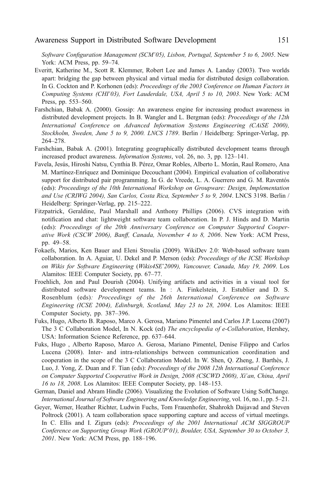<span id="page-38-0"></span>Software Configuration Management (SCM'05), Lisbon, Portugal, September 5 to 6, 2005. New York: ACM Press, pp. 59–74.

- Everitt, Katherine M., Scott R. Klemmer, Robert Lee and James A. Landay (2003). Two worlds apart: bridging the gap between physical and virtual media for distributed design collaboration. In G. Cockton and P. Korhonen (eds): Proceedings of the 2003 Conference on Human Factors in Computing Systems (CHI'03), Fort Lauderdale, USA, April 5 to 10, 2003. New York: ACM Press, pp. 553–560.
- Farshchian, Babak A. (2000). Gossip: An awareness engine for increasing product awareness in distributed development projects. In B. Wangler and L. Bergman (eds): Proceedings of the 12th International Conference on Advanced Information Systems Engineering (CAiSE 2000), Stockholm, Sweden, June 5 to 9, 2000. LNCS 1789. Berlin / Heidelberg: Springer-Verlag, pp. 264–278.
- Farshchian, Babak A. (2001). Integrating geographically distributed development teams through increased product awareness. Information Systems, vol. 26, no. 3, pp. 123–141.
- Favela, Jesús, Hiroshi Natsu, Cynthia B. Pérez, Omar Robles, Alberto L. Morán, Raul Romero, Ana M. Martínez-Enríquez and Dominique Decouchant (2004). Empirical evaluation of collaborative support for distributed pair programming. In G. de Vreede, L. A. Guerrero and G. M. Raventós (eds): Proceedings of the 10th International Workshop on Groupware: Design, Implementation and Use (CRIWG 2004), San Carlos, Costa Rica, September 5 to 9, 2004. LNCS 3198. Berlin / Heidelberg: Springer-Verlag, pp. 215–222.
- Fitzpatrick, Geraldine, Paul Marshall and Anthony Phillips (2006). CVS integration with notification and chat: lightweight software team collaboration. In P. J. Hinds and D. Martin (eds): Proceedings of the 20th Anniversary Conference on Computer Supported Cooperative Work (CSCW 2006), Banff, Canada, November 4 to 8, 2006. New York: ACM Press, pp. 49–58.
- Fokaefs, Marios, Ken Bauer and Eleni Stroulia (2009). WikiDev 2.0: Web-based software team collaboration. In A. Aguiar, U. Dekel and P. Merson (eds): Proceedings of the ICSE Workshop on Wikis for Software Engineering (Wikis4SE'2009), Vancouver, Canada, May 19, 2009. Los Alamitos: IEEE Computer Society, pp. 67–77.
- Froehlich, Jon and Paul Dourish (2004). Unifying artifacts and activities in a visual tool for distributed software development teams. In : A. Finkelstein, J. Estublier and D. S. Rosenblum (eds): Proceedings of the 26th International Conference on Software Engineering (ICSE 2004), Edinburgh, Scotland, May 23 to 28, 2004. Los Alamitos: IEEE Computer Society, pp. 387–396.
- Fuks, Hugo, Alberto B. Raposo, Marco A. Gerosa, Mariano Pimentel and Carlos J.P. Lucena (2007) The 3 C Collaboration Model, In N. Kock (ed) The encyclopedia of e-Collaboration, Hershey, USA: Information Science Reference, pp. 637–644.
- Fuks, Hugo , Alberto Raposo, Marco A. Gerosa, Mariano Pimentel, Denise Filippo and Carlos Lucena (2008). Inter- and intra-relationships between communication coordination and cooperation in the scope of the 3 C Collaboration Model. In W. Shen, Q. Zheng, J. Barthès, J. Luo, J. Yong, Z. Duan and F. Tian (eds): Proceedings of the 2008 12th International Conference on Computer Supported Cooperative Work in Design, 2008 (CSCWD 2008), Xi'an, China, April 16 to 18, 2008. Los Alamitos: IEEE Computer Society, pp. 148–153.
- German, Daniel and Abram Hindle (2006). Visualizing the Evolution of Software Using SoftChange. International Journal of Software Engineering and Knowledge Engineering, vol. 16, no.1, pp. 5–21.
- Geyer, Werner, Heather Richter, Ludwin Fuchs, Tom Frauenhofer, Shahrokh Daijavad and Steven Poltrock (2001). A team collaboration space supporting capture and access of virtual meetings. In C. Ellis and I. Zigurs (eds): Proceedings of the 2001 International ACM SIGGROUP Conference on Supporting Group Work (GROUP'01), Boulder, USA, September 30 to October 3, 2001. New York: ACM Press, pp. 188–196.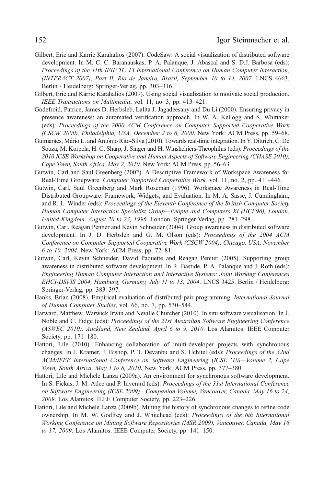- <span id="page-39-0"></span>Gilbert, Eric and Karrie Karahalios (2007). CodeSaw: A social visualization of distributed software development. In M. C. C. Baranauskas, P. A. Palanque, J. Abascal and S. D.J. Barbosa (eds): Proceedings of the 11th IFIP TC 13 International Conference on Human-Computer Interaction, (INTERACT 2007), Part II, Rio de Janeiro, Brazil, September 10 to 14, 2007. LNCS 4663. Berlin / Heidelberg: Springer-Verlag, pp. 303–316.
- Gilbert, Eric and Karrie Karahalios (2009). Using social visualization to motivate social production. IEEE Transactions on Multimedia, vol. 11, no. 3, pp. 413–421.
- Godefroid, Patrice, James D. Herbsleb, Lalita J. Jagadeesany and Du Li (2000). Ensuring privacy in presence awareness: an automated verification approach. In W. A. Kellogg and S. Whittaker (eds): Proceedings of the 2000 ACM Conference on Computer Supported Cooperative Work (CSCW 2000), Philadelphia, USA, December 2 to 6, 2000. New York: ACM Press, pp. 59–68.
- Guimarães, Mário L. and António Rito-Silva (2010). Towards real-time integration. In Y. Dittrich, C. De Souza, M. Korpela, H. C. Sharp, J. Singer and H. Winshchiers-Theophilus (eds): Proceedings of the 2010 ICSE Workshop on Cooperative and Human Aspects of Software Engineering (CHASE 2010), Cape Town, South Africa, May 2, 2010. New York: ACM Press, pp. 56–63.
- Gutwin, Carl and Saul Greenberg (2002). A Descriptive Framework of Workspace Awareness for Real-Time Groupware. Computer Supported Cooperative Work, vol. 11, no. 2, pp. 411-446.
- Gutwin, Carl, Saul Greenberg and Mark Roseman (1996). Workspace Awareness in Real-Time Distributed Groupware: Framework, Widgets, and Evaluation. In M. A. Sasse, J. Cunningham, and R. L. Winder (eds): Proceedings of the Eleventh Conference of the British Computer Society Human Computer Interaction Specialist Group—People and Computers XI (HCI'96), London, United Kingdom, August 20 to 23, 1996. London: Springer-Verlag, pp. 281–298.
- Gutwin, Carl, Reagan Penner and Kevin Schneider (2004). Group awareness in distributed software development. In J. D. Herbsleb and G. M. Olson (eds): Proceedings of the 2004 ACM Conference on Computer Supported Cooperative Work (CSCW 2004), Chicago, USA, November 6 to 10, 2004. New York: ACM Press, pp. 72–81.
- Gutwin, Carl, Kevin Schneider, David Paquette and Reagan Penner (2005). Supporting group awareness in distributed software development. In R. Bastide, P. A. Palanque and J. Roth (eds): Engineering Human Computer Interaction and Interactive Systems: Joint Working Conferences EHCI-DSVIS 2004, Hamburg, Germany, July 11 to 13, 2004. LNCS 3425. Berlin / Heidelberg: Springer-Verlag, pp. 383–397.
- Hanks, Brian (2008). Empirical evaluation of distributed pair programming. *International Journal* of Human Computer Studies, vol. 66, no. 7, pp. 530–544.
- Harward, Matthew, Warwick Irwin and Neville Churcher (2010). In situ software visualisation. In J. Noble and C. Fidge (eds): Proceedings of the 21st Australian Software Engineering Conference (ASWEC 2010), Auckland, New Zealand, April 6 to 9, 2010. Los Alamitos: IEEE Computer Society, pp. 171–180.
- Hattori, Lile (2010). Enhancing collaboration of multi-developer projects with synchronous changes. In J. Kramer, J. Bishop, P. T. Devanbu and S. Uchitel (eds): Proceedings of the 32nd ACM/IEEE International Conference on Software Engineering (ICSE '10)—Volume 2, Cape Town, South Africa, May 1 to 8, 2010. New York: ACM Press, pp. 377–380.
- Hattori, Lile and Michele Lanza (2009a). An environment for synchronous software development. In S. Fickas, J. M. Atlee and P. Inverard (eds): Proceedings of the 31st International Conference on Software Engineering (ICSE 2009)—Companion Volume, Vancouver, Canada, May 16 to 24, 2009. Los Alamitos: IEEE Computer Society, pp. 223–226.
- Hattori, Lile and Michele Lanza (2009b). Mining the history of synchronous changes to refine code ownership. In M. W. Godfrey and J. Whitehead (eds): Proceedings of the 6th International Working Conference on Mining Software Repositories (MSR 2009), Vancouver, Canada, May 16 to 17, 2009. Los Alamitos: IEEE Computer Society, pp. 141–150.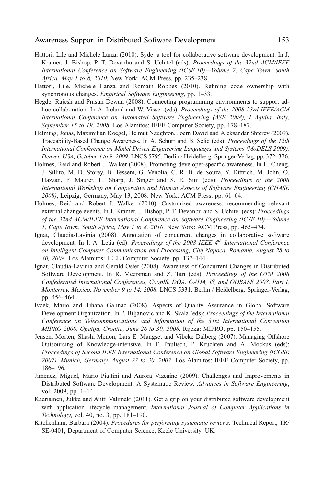- <span id="page-40-0"></span>Hattori, Lile and Michele Lanza (2010). Syde: a tool for collaborative software development. In J. Kramer, J. Bishop, P. T. Devanbu and S. Uchitel (eds): *Proceedings of the 32nd ACM/IEEE* International Conference on Software Engineering (ICSE'10)—Volume 2, Cape Town, South Africa, May 1 to 8, 2010. New York: ACM Press, pp. 235–238.
- Hattori, Lile, Michele Lanza and Romain Robbes (2010). Refining code ownership with synchronous changes. *Empirical Software Engineering*, pp. 1–33.
- Hegde, Rajesh and Prasun Dewan (2008). Connecting programming environments to support adhoc collaboration. In A. Ireland and W. Visser (eds): Proceedings of the 2008 23rd IEEE/ACM International Conference on Automated Software Engineering (ASE 2008), L´Aquila, Italy, September 15 to 19, 2008. Los Alamitos: IEEE Computer Society, pp. 178–187.
- Helming, Jonas, Maximilian Koegel, Helmut Naughton, Joern David and Aleksandar Shterev (2009). Traceability-Based Change Awareness. In A. Schürr and B. Selic (eds): Proceedings of the 12th International Conference on Model Driven Engineering Languages and Systems (MoDELS 2009), Denver, USA, October 4 to 9, 2009. LNCS 5795. Berlin / Heidelberg: Springer-Verlag, pp. 372–376.
- Holmes, Reid and Robert J. Walker (2008). Promoting developer-specific awareness. In L. Cheng, J. Sillito, M. D. Storey, B. Tessem, G. Venolia, C. R. B. de Souza, Y. Dittrich, M. John, O. Hazzan, F. Maurer, H. Sharp, J. Singer and S. E. Sim (eds): Proceedings of the 2008 International Workshop on Cooperative and Human Aspects of Software Engineering (CHASE 2008), Leipzig, Germany, May 13, 2008. New York: ACM Press, pp. 61–64.
- Holmes, Reid and Robert J. Walker (2010). Customized awareness: recommending relevant external change events. In J. Kramer, J. Bishop, P. T. Devanbu and S. Uchitel (eds): Proceedings of the 32nd ACM/IEEE International Conference on Software Engineering (ICSE'10)—Volume 1, Cape Town, South Africa, May 1 to 8, 2010. New York: ACM Press, pp. 465–474.
- Ignat, Claudia-Lavinia (2008). Annotation of concurrent changes in collaborative software development. In I. A. Letia (ed): Proceedings of the 2008 IEEE 4<sup>th</sup> International Conference on Intelligent Computer Communication and Processing, Cluj-Napoca, Romania, August 28 to 30, 2008. Los Alamitos: IEEE Computer Society, pp. 137–144.
- Ignat, Claudia-Lavinia and Gérald Oster (2008). Awareness of Concurrent Changes in Distributed Software Development. In R. Meersman and Z. Tari (eds): Proceedings of the OTM 2008 Confederated International Conferences, CoopIS, DOA, GADA, IS, and ODBASE 2008, Part I, Monterrey, Mexico, November 9 to 14, 2008. LNCS 5331. Berlin / Heidelberg: Springer-Verlag, pp. 456–464.
- Ivcek, Mario and Tihana Galinac (2008). Aspects of Quality Assurance in Global Software Development Organization. In P. Biljanovic and K. Skala (eds): Proceedings of the International Conference on Telecommunications and Information of the 31st International Convention MIPRO 2008, Opatija, Croatia, June 26 to 30, 2008. Rijeka: MIPRO, pp. 150–155.
- Jensen, Morten, Shashi Menon, Lars E. Mangset and Vibeke Dalberg (2007). Managing Offshore Outsourcing of Knowledge-intensive. In F. Paulisch, P. Kruchten and A. Mockus (eds): Proceedings of Second IEEE International Conference on Global Software Engineering (ICGSE 2007), Munich, Germany, August 27 to 30, 2007. Los Alamitos: IEEE Computer Society, pp. 186–196.
- Jimenez, Miguel, Mario Piattini and Aurora Vizcaíno (2009). Challenges and Improvements in Distributed Software Development: A Systematic Review. Advances in Software Engineering, vol. 2009, pp. 1–14.
- Kaariainen, Jukka and Antti Valimaki (2011). Get a grip on your distributed software development with application lifecycle management. International Journal of Computer Applications in Technology, vol. 40, no. 3, pp. 181–190.
- Kitchenham, Barbara (2004). Procedures for performing systematic reviews. Technical Report, TR/ SE-0401, Department of Computer Science, Keele University, UK.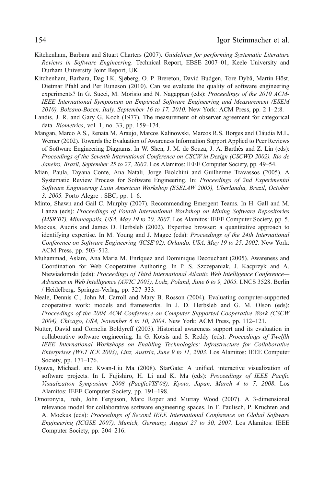- <span id="page-41-0"></span>Kitchenham, Barbara and Stuart Charters (2007). Guidelines for performing Systematic Literature Reviews in Software Engineering. Technical Report, EBSE 2007–01, Keele University and Durham University Joint Report, UK.
- Kitchenham, Barbara, Dag I.K. Sjøberg, O. P. Brereton, David Budgen, Tore Dybå, Martin Höst, Dietmar Pfahl and Per Runeson (2010). Can we evaluate the quality of software engineering experiments? In G. Succi, M. Morisio and N. Nagappan (eds): *Proceedings of the 2010 ACM*-IEEE International Symposium on Empirical Software Engineering and Measurement (ESEM 2010), Bolzano-Bozen, Italy, September 16 to 17, 2010. New York: ACM Press, pp. 2:1–2:8.
- Landis, J. R. and Gary G. Koch (1977). The measurement of observer agreement for categorical data. Biometrics, vol. 1, no. 33, pp. 159–174.
- Mangan, Marco A.S., Renata M. Araujo, Marcos Kalinowski, Marcos R.S. Borges and Cláudia M.L. Werner (2002). Towards the Evaluation of Awareness Information Support Applied to Peer Reviews of Software Engineering Diagrams. In W. Shen, J. M. de Souza, J. A. Barthès and Z. Lin (eds): Proceedings of the Seventh International Conference on CSCW in Design (CSCWD 2002), Rio de Janeiro, Brazil, September 25 to 27, 2002. Los Alamitos: IEEE Computer Society, pp. 49–54.
- Mian, Paula, Tayana Conte, Ana Natali, Jorge Biolchini and Guilherme Travassos (2005). A Systematic Review Process for Software Engineering. In: Proceedings of 2nd Experimental Software Engineering Latin American Workshop (ESELAW 2005), Uberlandia, Brazil, October 3, 2005. Porto Alegre : SBC, pp. 1–6.
- Minto, Shawn and Gail C. Murphy (2007). Recommending Emergent Teams. In H. Gall and M. Lanza (eds): Proceedings of Fourth International Workshop on Mining Software Repositories (MSR'07), Minneapolis, USA, May 19 to 20, 2007. Los Alamitos: IEEE Computer Society, pp. 5.
- Mockus, Audris and James D. Herbsleb (2002). Expertise browser: a quantitative approach to identifying expertise. In M. Young and J. Magee (eds): Proceedings of the 24th International Conference on Software Engineering (ICSE'02), Orlando, USA, May 19 to 25, 2002. New York: ACM Press, pp. 503–512.
- Muhammad, Aslam, Ana María M. Enríquez and Dominique Decouchant (2005). Awareness and Coordination for Web Cooperative Authoring. In P. S. Szczepaniak, J. Kacprzyk and A. Niewiadomski (eds): Proceedings of Third International Atlantic Web Intelligence Conference— Advances in Web Intelligence (AWIC 2005), Lodz, Poland, June 6 to 9, 2005. LNCS 3528. Berlin / Heidelberg: Springer-Verlag, pp. 327–333.
- Neale, Dennis C., John M. Carroll and Mary B. Rosson (2004). Evaluating computer-supported cooperative work: models and frameworks. In J. D. Herbsleb and G. M. Olson (eds): Proceedings of the 2004 ACM Conference on Computer Supported Cooperative Work (CSCW 2004), Chicago, USA, November 6 to 10, 2004. New York: ACM Press, pp. 112–121.
- Nutter, David and Cornelia Boldyreff (2003). Historical awareness support and its evaluation in collaborative software engineering. In G. Kotsis and S. Reddy (eds): Proceedings of Twelfth IEEE International Workshops on Enabling Technologies: Infrastructure for Collaborative Enterprises (WET ICE 2003), Linz, Austria, June 9 to 11, 2003. Los Alamitos: IEEE Computer Society, pp. 171–176.
- Ogawa, Michael. and Kwan-Liu Ma (2008). StarGate: A unified, interactive visualization of software projects. In I. Fujishiro, H. Li and K. Ma (eds): Proceedings of IEEE Pacific Visualization Symposium 2008 (PacificVIS'08), Kyoto, Japan, March 4 to 7, 2008. Los Alamitos: IEEE Computer Society, pp. 191–198.
- Omoronyia, Inah, John Ferguson, Marc Roper and Murray Wood (2007). A 3-dimensional relevance model for collaborative software engineering spaces. In F. Paulisch, P. Kruchten and A. Mockus (eds): Proceedings of Second IEEE International Conference on Global Software Engineering (ICGSE 2007), Munich, Germany, August 27 to 30, 2007. Los Alamitos: IEEE Computer Society, pp. 204–216.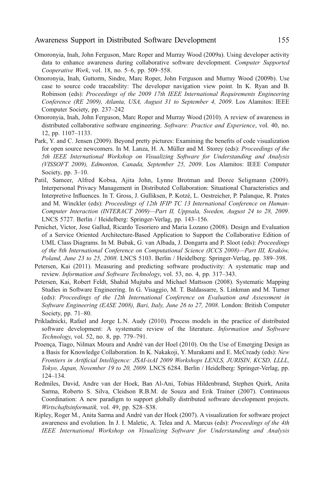- <span id="page-42-0"></span>Omoronyia, Inah, John Ferguson, Marc Roper and Murray Wood (2009a). Using developer activity data to enhance awareness during collaborative software development. Computer Supported Cooperative Work, vol. 18, no. 5–6, pp. 509–558.
- Omoronyia, Inah, Guttorm, Sindre, Marc Roper, John Ferguson and Murray Wood (2009b). Use case to source code traceability: The developer navigation view point. In K. Ryan and B. Robinson (eds): Proceedings of the 2009 17th IEEE International Requirements Engineering Conference (RE 2009), Atlanta, USA, August 31 to September 4, 2009. Los Alamitos: IEEE Computer Society, pp. 237–242
- Omoronyia, Inah, John Ferguson, Marc Roper and Murray Wood (2010). A review of awareness in distributed collaborative software engineering. Software: Practice and Experience, vol. 40, no. 12, pp. 1107–1133.
- Park, Y. and C. Jensen (2009). Beyond pretty pictures: Examining the benefits of code visualization for open source newcomers. In M. Lanza, H. A. Müller and M. Storey (eds): Proceedings of the 5th IEEE International Workshop on Visualizing Software for Understanding and Analysis (VISSOFT 2009), Edmonton, Canada, September 25, 2009. Los Alamitos: IEEE Computer Society, pp. 3–10.
- Patil, Sameer, Alfred Kobsa, Ajita John, Lynne Brotman and Doree Seligmann (2009). Interpersonal Privacy Management in Distributed Collaboration: Situational Characteristics and Interpretive Influences. In T. Gross, J. Gulliksen, P. Kotzé, L. Oestreicher, P. Palanque, R. Prates and M. Winckler (eds): Proceedings of 12th IFIP TC 13 International Conference on Human-Computer Interaction (INTERACT 2009)—Part II, Uppsala, Sweden, August 24 to 28, 2009. LNCS 5727. Berlin / Heidelberg: Springer-Verlag, pp. 143–156.
- Penichet, Victor, Jose Gallud, Ricardo Tesoriero and Maria Lozano (2008). Design and Evaluation of a Service Oriented Architecture-Based Application to Support the Collaborative Edition of UML Class Diagrams. In M. Bubak, G. van Albada, J. Dongarra and P. Sloot (eds): Proceedings of the 8th International Conference on Computational Science (ICCS 2008)—Part III, Kraków, Poland, June 23 to 25, 2008. LNCS 5103. Berlin / Heidelberg: Springer-Verlag, pp. 389–398.
- Petersen, Kai (2011). Measuring and predicting software productivity: A systematic map and review. Information and Software Technology, vol. 53, no. 4, pp. 317–343.
- Petersen, Kai, Robert Feldt, Shahid Mujtaba and Michael Mattsson (2008). Systematic Mapping Studies in Software Engineering. In G. Visaggio, M. T. Baldassarre, S. Linkman and M. Turner (eds): Proceedings of the 12th International Conference on Evaluation and Assessment in Software Engineering (EASE 2008), Bari, Italy, June 26 to 27, 2008. London: British Computer Society, pp. 71–80.
- Prikladnicki, Rafael and Jorge L.N. Audy (2010). Process models in the practice of distributed software development: A systematic review of the literature. Information and Software Technology, vol. 52, no. 8, pp. 779–791.
- Proença, Tiago, Nilmax Moura and André van der Hoel (2010). On the Use of Emerging Design as a Basis for Knowledge Collaboration. In K. Nakakoji, Y. Murakami and E. McCready (eds): New Frontiers in Artificial Intelligence: JSAI-isAI 2009 Workshops LENLS, JURISIN, KCSD, LLLL, Tokyo, Japan, November 19 to 20, 2009. LNCS 6284. Berlin / Heidelberg: Springer-Verlag, pp. 124–134.
- Redmiles, David, Andre van der Hoek, Ban Al-Ani, Tobias Hildenbrand, Stephen Quirk, Anita Sarma, Roberto S. Silva, Cleidson R.B.M. de Souza and Erik Trainer (2007). Continuous Coordination: A new paradigm to support globally distributed software development projects. Wirtschaftsinformatik, vol. 49, pp. S28–S38.
- Ripley, Roger M., Anita Sarma and André van der Hoek (2007). A visualization for software project awareness and evolution. In J. I. Maletic, A. Telea and A. Marcus (eds): *Proceedings of the 4th* IEEE International Workshop on Visualizing Software for Understanding and Analysis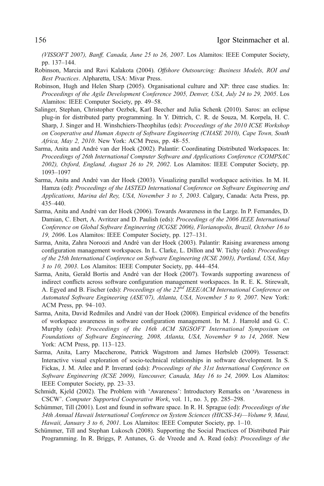<span id="page-43-0"></span>(VISSOFT 2007), Banff, Canada, June 25 to 26, 2007. Los Alamitos: IEEE Computer Society, pp. 137–144.

- Robinson, Marcia and Ravi Kalakota (2004). Offshore Outsourcing: Business Models, ROI and Best Practices. Alpharetta, USA: Mivar Press.
- Robinson, Hugh and Helen Sharp (2005). Organisational culture and XP: three case studies. In: Proceedings of the Agile Development Conference 2005, Denver, USA, July 24 to 29, 2005. Los Alamitos: IEEE Computer Society, pp. 49–58.
- Salinger, Stephan, Christopher Oezbek, Karl Beecher and Julia Schenk (2010). Saros: an eclipse plug-in for distributed party programming. In Y. Dittrich, C. R. de Souza, M. Korpela, H. C. Sharp, J. Singer and H. Winshchiers-Theophilus (eds): Proceedings of the 2010 ICSE Workshop on Cooperative and Human Aspects of Software Engineering (CHASE 2010), Cape Town, South Africa, May 2, 2010. New York: ACM Press, pp. 48–55.
- Sarma, Anita and André van der Hoek (2002). Palantír: Coordinating Distributed Workspaces. In: Proceedings of 26th International Computer Software and Applications Conference (COMPSAC 2002), Oxford, England, August 26 to 29, 2002. Los Alamitos: IEEE Computer Society, pp. 1093–1097
- Sarma, Anita and André van der Hoek (2003). Visualizing parallel workspace activities. In M. H. Hamza (ed): Proceedings of the IASTED International Conference on Software Engineering and Applications, Marina del Rey, USA, November 3 to 5, 2003. Calgary, Canada: Acta Press, pp. 435–440.
- Sarma, Anita and André van der Hoek (2006). Towards Awareness in the Large. In P. Fernandes, D. Damian, C. Ebert, A. Avritzer and D. Paulish (eds): *Proceedings of the 2006 IEEE International* Conference on Global Software Engineering (ICGSE 2006), Florianopolis, Brazil, October 16 to 19, 2006. Los Alamitos: IEEE Computer Society, pp. 127–131.
- Sarma, Anita, Zahra Noroozi and André van der Hoek (2003). Palantìr: Raising awareness among configuration management workspaces. In L. Clarke, L. Dillon and W. Tichy (eds): Proceedings of the 25th International Conference on Software Engineering (ICSE 2003), Portland, USA, May 3 to 10, 2003. Los Alamitos: IEEE Computer Society, pp. 444–454.
- Sarma, Anita, Gerald Bortis and André van der Hoek (2007). Towards supporting awareness of indirect conflicts across software configuration management workspaces. In R. E. K. Stirewalt, A. Egyed and B. Fischer (eds): Proceedings of the  $22^{nd}$  IEEE/ACM International Conference on Automated Software Engineering (ASE'07), Atlanta, USA, November 5 to 9, 2007. New York: ACM Press, pp. 94–103.
- Sarma, Anita, David Redmiles and André van der Hoek (2008). Empirical evidence of the benefits of workspace awareness in software configuration management. In M. J. Harrold and G. C. Murphy (eds): Proceedings of the 16th ACM SIGSOFT International Symposium on Foundations of Software Engineering, 2008, Atlanta, USA, November 9 to 14, 2008. New York: ACM Press, pp. 113–123.
- Sarma, Anita, Larry Maccherone, Patrick Wagstrom and James Herbsleb (2009). Tesseract: Interactive visual exploration of socio-technical relationships in software development. In S. Fickas, J. M. Atlee and P. Inverard (eds): Proceedings of the 31st International Conference on Software Engineering (ICSE 2009), Vancouver, Canada, May 16 to 24, 2009. Los Alamitos: IEEE Computer Society, pp. 23–33.
- Schmidt, Kjeld (2002). The Problem with 'Awareness': Introductory Remarks on 'Awareness in CSCW'. Computer Supported Cooperative Work, vol. 11, no. 3, pp. 285–298.
- Schümmer, Till (2001). Lost and found in software space. In R. H. Sprague (ed): *Proceedings of the* 34th Annual Hawaii International Conference on System Sciences (HICSS-34)—Volume 9, Maui, Hawaii, January 3 to 6, 2001. Los Alamitos: IEEE Computer Society, pp. 1–10.
- Schümmer, Till and Stephan Lukosch (2008). Supporting the Social Practices of Distributed Pair Programming. In R. Briggs, P. Antunes, G. de Vreede and A. Read (eds): Proceedings of the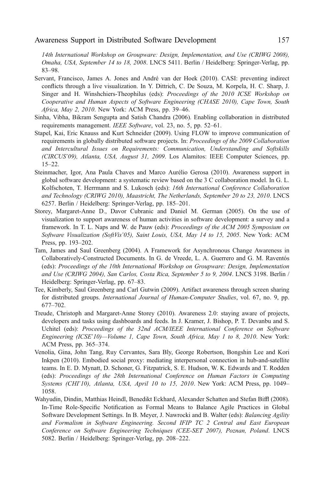<span id="page-44-0"></span>14th International Workshop on Groupware: Design, Implementation, and Use (CRIWG 2008), Omaha, USA, September 14 to 18, 2008. LNCS 5411. Berlin / Heidelberg: Springer-Verlag, pp. 83–98.

- Servant, Francisco, James A. Jones and André van der Hoek (2010). CASI: preventing indirect conflicts through a live visualization. In Y. Dittrich, C. De Souza, M. Korpela, H. C. Sharp, J. Singer and H. Winshchiers-Theophilus (eds): Proceedings of the 2010 ICSE Workshop on Cooperative and Human Aspects of Software Engineering (CHASE 2010), Cape Town, South Africa, May 2, 2010. New York: ACM Press, pp. 39–46.
- Sinha, Vibha, Bikram Sengupta and Satish Chandra (2006). Enabling collaboration in distributed requirements management. IEEE Software, vol. 23, no. 5, pp. 52–61.
- Stapel, Kai, Eric Knauss and Kurt Schneider (2009). Using FLOW to improve communication of requirements in globally distributed software projects. In: Proceedings of the 2009 Collaboration and Intercultural Issues on Requirements: Communication, Understanding and Softskills (CIRCUS'09), Atlanta, USA, August 31, 2009. Los Alamitos: IEEE Computer Sciences, pp. 15–22.
- Steinmacher, Igor, Ana Paula Chaves and Marco Aurélio Gerosa (2010). Awareness support in global software development: a systematic review based on the 3 C collaboration model. In G. L. Kolfschoten, T. Herrmann and S. Lukosch (eds): 16th International Conference Collaboration and Technology (CRIWG 2010), Maastricht, The Netherlands, September 20 to 23, 2010. LNCS 6257. Berlin / Heidelberg: Springer-Verlag, pp. 185–201.
- Storey, Margaret-Anne D., Davor Cubranic and Daniel M. German (2005). On the use of visualization to support awareness of human activities in software development: a survey and a framework. In T. L. Naps and W. de Pauw (eds): Proceedings of the ACM 2005 Symposium on Software Visualization (SoftVis'05), Saint Louis, USA, May 14 to 15, 2005. New York: ACM Press, pp. 193–202.
- Tam, James and Saul Greenberg (2004). A Framework for Asynchronous Change Awareness in Collaboratively-Constructed Documents. In G. de Vreede, L. A. Guerrero and G. M. Raventós (eds): Proceedings of the 10th International Workshop on Groupware: Design, Implementation and Use (CRIWG 2004), San Carlos, Costa Rica, September 5 to 9, 2004. LNCS 3198. Berlin / Heidelberg: Springer-Verlag, pp. 67–83.
- Tee, Kimberly, Saul Greenberg and Carl Gutwin (2009). Artifact awareness through screen sharing for distributed groups. International Journal of Human-Computer Studies, vol. 67, no. 9, pp. 677–702.
- Treude, Christoph and Margaret-Anne Storey (2010). Awareness 2.0: staying aware of projects, developers and tasks using dashboards and feeds. In J. Kramer, J. Bishop, P. T. Devanbu and S. Uchitel (eds): Proceedings of the 32nd ACM/IEEE International Conference on Software Engineering (ICSE'10)—Volume 1, Cape Town, South Africa, May 1 to 8, 2010. New York: ACM Press, pp. 365–374.
- Venolia, Gina, John Tang, Ruy Cervantes, Sara Bly, George Robertson, Bongshin Lee and Kori Inkpen (2010). Embodied social proxy: mediating interpersonal connection in hub-and-satellite teams. In E. D. Mynatt, D. Schoner, G. Fitzpatrick, S. E. Hudson, W. K. Edwards and T. Rodden (eds): Proceedings of the 28th International Conference on Human Factors in Computing Systems (CHI'10), Atlanta, USA, April 10 to 15, 2010. New York: ACM Press, pp. 1049– 1058.
- Wahyudin, Dindin, Matthias Heindl, Benedikt Eckhard, Alexander Schatten and Stefan Biffl (2008). In-Time Role-Specific Notification as Formal Means to Balance Agile Practices in Global Software Development Settings. In B. Meyer, J. Nawrocki and B. Walter (eds): Balancing Agility and Formalism in Software Engineering. Second IFIP TC 2 Central and East European Conference on Software Engineering Techniques (CEE-SET 2007), Poznan, Poland. LNCS 5082. Berlin / Heidelberg: Springer-Verlag, pp. 208–222.